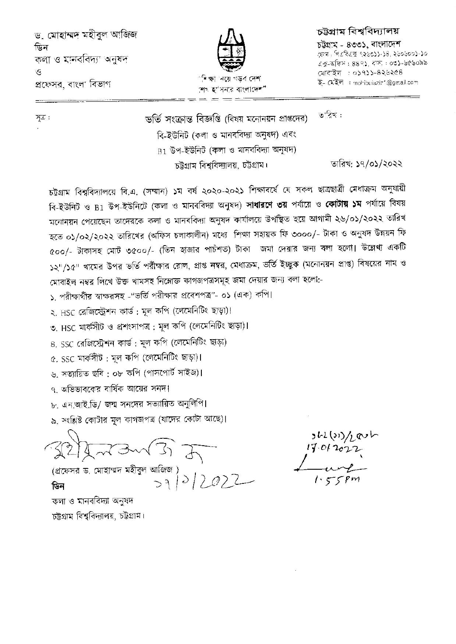ড. মোহাম্মদ মহীবুল আজিজ ডিন কলা ও মানববিদ্যা অনুষদ ও প্রফেসর, বাংলা বিভাগ



শেষ হ'বিনার বাংলাদেশ"

## চট্টগ্ৰাম বিশ্ববিদ্যালয়

চউগ্রাম - ৪৩৩১, বাংলাদেশ কেন। পিএবিএক ৭২৬৩১১-১৪, ২৬০৬০০১-১০ এক্সফিস : ৪৪৭১, বস: : ০৩১-৬৫৬০৯৯ মোবাইল: 0১৭১১-8২৬২৫৪ ই- মেইল : mohibulaziz\*@gmail.com

 $Z \in \mathcal{F}$ 

তাবিখ $\cdot$ ভৰ্তি সংক্ৰান্ত বিজ্ঞপ্তি (বিষয় মনোনয়ন প্ৰাপ্তদেৱ) বি-ইউনিট (কলা ও মানববিদ্যা অনুষদ) এবং  $B1$  উপ-ইউনিট (কলা ও মানববিদ্যা অনুষদ) তারিখ: ১৭/০১/২০২২ চট্টগ্রাম বিশ্ববিদ্যালয়, চট্টগ্রাম।

চট্টগ্রাম বিশ্ববিদ্যালয়ে বি.এ. (সম্মান) ১ম বর্ষ ২০২০-২০২১ শিক্ষাবর্ষে যে সকল ছাত্রছাত্রী মেধাক্রম অনুযায়ী বি-ইউনিট ও B1 উপ-ইউনিটে (কলা ও মানববিদ্যা অনুষদ) **সাধারণে ৩য়** পর্যায়ে ও **কোটায় ১ম** পর্যায়ে বিষয় মনোনয়ন পেয়েছেন তাদেরকে কলা ও মানববিদ্যা অনুষদ কার্যালয়ে উপস্থিত হয়ে আগামী ২৬/০১/২০২২ তারিখ হতে ০১/০২/২০২২ তারিখের (অফিস চলাকালীন) মধ্যে শিক্ষা সহায়ক ফি ৩০০০/- টাকা ও অনুষদ উন্নয়ন ফি ৫০০/- টাকাসহ মোট ৩৫০০/- (তিন হাজার পার্চশত) টাকা জমা দেয়ার জন্য বলা হলো। উল্লেখ্য একটি ১২"/১৫" খামের উপর ভর্তি পর্রীক্ষার রোল, প্রাপ্ত নম্বর, মেধাক্রম, ভর্তি ইচ্ছুক (মনোনয়ন প্রাপ্ত) বিষয়ের নাম ও মোবাইল নম্বর লিখে উক্ত খামসহ নিম্নোক্ত কাগজপত্রসমূহ জমা দেয়ার জন্য বলা হলো:-

১, পরীক্ষার্থীর স্বাক্ষরসহ -"ভর্তি পরীক্ষার প্রবেশপত্র"- ০১ (এক) কপি।

২. HSC রেজিস্ট্রেশন কার্ড : মূল কপি (লেমেনিটিং ছাড়া)।

৩. HSC মার্কসীট ও প্রশংসাপত্র ; মূল কপি (লেমেনিটিং ছাড়া)।

৪, SSC রেজিস্ট্রেশন কার্ড : মূল কপি (লেমেনিটিং ছাড়া)

৫. SSC মাৰ্কসীট: মূল কপি (লেমেনিটিং ছাড়া)।

৬, সত্যায়িত ছবি : ০৮ কপি (পাসপোর্ট সাইজ)।

৭, অভিভাবকের বার্ষিক আয়ের সমদ।

৮, এন.আই.ডি/ জন্ম সনদের সত্যায়িত অনুলিপি।

৯, সংশ্লিষ্ট কোটার মূল কাগজপত্র (যাদের কোটা আছে)।

ডিন

কলা ও মানববিদ্যা অনুষদ চট্টগ্রাম বিশ্ববিদ্যালয়, চট্টগ্রাম।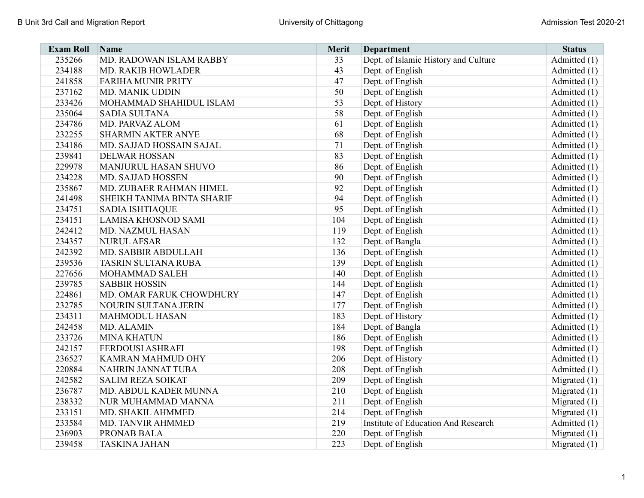| <b>Exam Roll</b> | Name                        | <b>Merit</b> | <b>Department</b>                    | <b>Status</b>  |
|------------------|-----------------------------|--------------|--------------------------------------|----------------|
| 235266           | MD. RADOWAN ISLAM RABBY     | 33           | Dept. of Islamic History and Culture | Admitted (1)   |
| 234188           | <b>MD. RAKIB HOWLADER</b>   | 43           | Dept. of English                     | Admitted (1)   |
| 241858           | <b>FARIHA MUNIR PRITY</b>   | 47           | Dept. of English                     | Admitted $(1)$ |
| 237162           | MD. MANIK UDDIN             | 50           | Dept. of English                     | Admitted $(1)$ |
| 233426           | MOHAMMAD SHAHIDUL ISLAM     | 53           | Dept. of History                     | Admitted $(1)$ |
| 235064           | <b>SADIA SULTANA</b>        | 58           | Dept. of English                     | Admitted (1)   |
| 234786           | MD. PARVAZ ALOM             | 61           | Dept. of English                     | Admitted $(1)$ |
| 232255           | <b>SHARMIN AKTER ANYE</b>   | 68           | Dept. of English                     | Admitted (1)   |
| 234186           | MD. SAJJAD HOSSAIN SAJAL    | 71           | Dept. of English                     | Admitted $(1)$ |
| 239841           | <b>DELWAR HOSSAN</b>        | 83           | Dept. of English                     | Admitted (1)   |
| 229978           | <b>MANJURUL HASAN SHUVO</b> | 86           | Dept. of English                     | Admitted $(1)$ |
| 234228           | MD. SAJJAD HOSSEN           | 90           | Dept. of English                     | Admitted $(1)$ |
| 235867           | MD. ZUBAER RAHMAN HIMEL     | 92           | Dept. of English                     | Admitted $(1)$ |
| 241498           | SHEIKH TANIMA BINTA SHARIF  | 94           | Dept. of English                     | Admitted $(1)$ |
| 234751           | <b>SADIA ISHTIAQUE</b>      | 95           | Dept. of English                     | Admitted (1)   |
| 234151           | <b>LAMISA KHOSNOD SAMI</b>  | 104          | Dept. of English                     | Admitted (1)   |
| 242412           | MD. NAZMUL HASAN            | 119          | Dept. of English                     | Admitted (1)   |
| 234357           | <b>NURUL AFSAR</b>          | 132          | Dept. of Bangla                      | Admitted $(1)$ |
| 242392           | MD. SABBIR ABDULLAH         | 136          | Dept. of English                     | Admitted (1)   |
| 239536           | TASRIN SULTANA RUBA         | 139          | Dept. of English                     | Admitted $(1)$ |
| 227656           | MOHAMMAD SALEH              | 140          | Dept. of English                     | Admitted (1)   |
| 239785           | <b>SABBIR HOSSIN</b>        | 144          | Dept. of English                     | Admitted $(1)$ |
| 224861           | MD. OMAR FARUK CHOWDHURY    | 147          | Dept. of English                     | Admitted (1)   |
| 232785           | NOURIN SULTANA JERIN        | 177          | Dept. of English                     | Admitted $(1)$ |
| 234311           | <b>MAHMODUL HASAN</b>       | 183          | Dept. of History                     | Admitted $(1)$ |
| 242458           | MD. ALAMIN                  | 184          | Dept. of Bangla                      | Admitted $(1)$ |
| 233726           | <b>MINA KHATUN</b>          | 186          | Dept. of English                     | Admitted $(1)$ |
| 242157           | FERDOUSI ASHRAFI            | 198          | Dept. of English                     | Admitted $(1)$ |
| 236527           | KAMRAN MAHMUD OHY           | 206          | Dept. of History                     | Admitted $(1)$ |
| 220884           | NAHRIN JANNAT TUBA          | 208          | Dept. of English                     | Admitted (1)   |
| 242582           | <b>SALIM REZA SOIKAT</b>    | 209          | Dept. of English                     | Migrated $(1)$ |
| 236787           | MD. ABDUL KADER MUNNA       | 210          | Dept. of English                     | Migrated $(1)$ |
| 238332           | NUR MUHAMMAD MANNA          | 211          | Dept. of English                     | Migrated $(1)$ |
| 233151           | MD. SHAKIL AHMMED           | 214          | Dept. of English                     | Migrated $(1)$ |
| 233584           | MD. TANVIR AHMMED           | 219          | Institute of Education And Research  | Admitted $(1)$ |
| 236903           | PRONAB BALA                 | 220          | Dept. of English                     | Migrated $(1)$ |
| 239458           | <b>TASKINA JAHAN</b>        | 223          | Dept. of English                     | Migrated $(1)$ |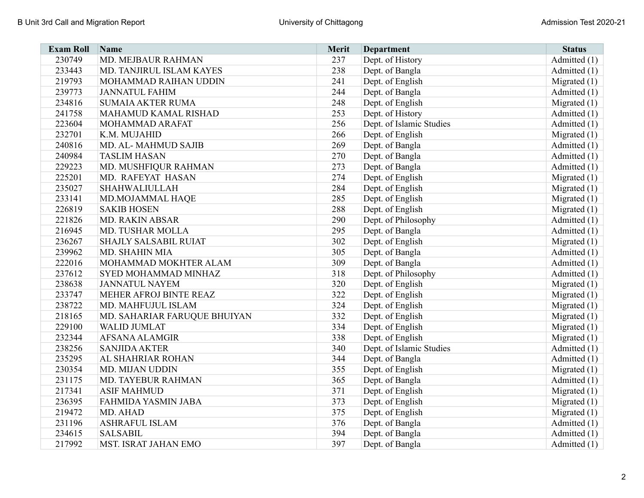| <b>Exam Roll</b> | Name                         | Merit | <b>Department</b>        | <b>Status</b>  |
|------------------|------------------------------|-------|--------------------------|----------------|
| 230749           | MD. MEJBAUR RAHMAN           | 237   | Dept. of History         | Admitted (1)   |
| 233443           | MD. TANJIRUL ISLAM KAYES     | 238   | Dept. of Bangla          | Admitted (1)   |
| 219793           | MOHAMMAD RAIHAN UDDIN        | 241   | Dept. of English         | Migrated $(1)$ |
| 239773           | <b>JANNATUL FAHIM</b>        | 244   | Dept. of Bangla          | Admitted (1)   |
| 234816           | <b>SUMAIA AKTER RUMA</b>     | 248   | Dept. of English         | Migrated $(1)$ |
| 241758           | MAHAMUD KAMAL RISHAD         | 253   | Dept. of History         | Admitted (1)   |
| 223604           | MOHAMMAD ARAFAT              | 256   | Dept. of Islamic Studies | Admitted (1)   |
| 232701           | K.M. MUJAHID                 | 266   | Dept. of English         | Migrated $(1)$ |
| 240816           | MD. AL-MAHMUD SAJIB          | 269   | Dept. of Bangla          | Admitted (1)   |
| 240984           | <b>TASLIM HASAN</b>          | 270   | Dept. of Bangla          | Admitted (1)   |
| 229223           | MD. MUSHFIQUR RAHMAN         | 273   | Dept. of Bangla          | Admitted (1)   |
| 225201           | MD. RAFEYAT HASAN            | 274   | Dept. of English         | Migrated $(1)$ |
| 235027           | SHAHWALIULLAH                | 284   | Dept. of English         | Migrated $(1)$ |
| 233141           | MD.MOJAMMAL HAQE             | 285   | Dept. of English         | Migrated $(1)$ |
| 226819           | <b>SAKIB HOSEN</b>           | 288   | Dept. of English         | Migrated $(1)$ |
| 221826           | <b>MD. RAKIN ABSAR</b>       | 290   | Dept. of Philosophy      | Admitted (1)   |
| 216945           | MD. TUSHAR MOLLA             | 295   | Dept. of Bangla          | Admitted (1)   |
| 236267           | <b>SHAJLY SALSABIL RUIAT</b> | 302   | Dept. of English         | Migrated $(1)$ |
| 239962           | MD. SHAHIN MIA               | 305   | Dept. of Bangla          | Admitted (1)   |
| 222016           | MOHAMMAD MOKHTER ALAM        | 309   | Dept. of Bangla          | Admitted (1)   |
| 237612           | SYED MOHAMMAD MINHAZ         | 318   | Dept. of Philosophy      | Admitted (1)   |
| 238638           | <b>JANNATUL NAYEM</b>        | 320   | Dept. of English         | Migrated $(1)$ |
| 233747           | MEHER AFROJ BINTE REAZ       | 322   | Dept. of English         | Migrated $(1)$ |
| 238722           | MD. MAHFUJUL ISLAM           | 324   | Dept. of English         | Migrated $(1)$ |
| 218165           | MD. SAHARIAR FARUQUE BHUIYAN | 332   | Dept. of English         | Migrated $(1)$ |
| 229100           | <b>WALID JUMLAT</b>          | 334   | Dept. of English         | Migrated $(1)$ |
| 232344           | AFSANA ALAMGIR               | 338   | Dept. of English         | Migrated $(1)$ |
| 238256           | <b>SANJIDA AKTER</b>         | 340   | Dept. of Islamic Studies | Admitted (1)   |
| 235295           | AL SHAHRIAR ROHAN            | 344   | Dept. of Bangla          | Admitted (1)   |
| 230354           | MD. MIJAN UDDIN              | 355   | Dept. of English         | Migrated $(1)$ |
| 231175           | MD. TAYEBUR RAHMAN           | 365   | Dept. of Bangla          | Admitted (1)   |
| 217341           | <b>ASIF MAHMUD</b>           | 371   | Dept. of English         | Migrated $(1)$ |
| 236395           | FAHMIDA YASMIN JABA          | 373   | Dept. of English         | Migrated $(1)$ |
| 219472           | MD. AHAD                     | 375   | Dept. of English         | Migrated $(1)$ |
| 231196           | <b>ASHRAFUL ISLAM</b>        | 376   | Dept. of Bangla          | Admitted (1)   |
| 234615           | <b>SALSABIL</b>              | 394   | Dept. of Bangla          | Admitted (1)   |
| 217992           | MST. ISRAT JAHAN EMO         | 397   | Dept. of Bangla          | Admitted $(1)$ |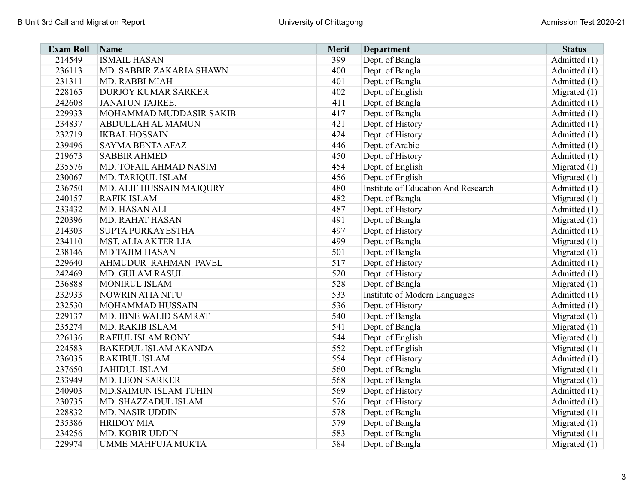| <b>Exam Roll</b> | Name                         | Merit | <b>Department</b>                   | <b>Status</b>  |
|------------------|------------------------------|-------|-------------------------------------|----------------|
| 214549           | <b>ISMAIL HASAN</b>          | 399   | Dept. of Bangla                     | Admitted (1)   |
| 236113           | MD. SABBIR ZAKARIA SHAWN     | 400   | Dept. of Bangla                     | Admitted $(1)$ |
| 231311           | MD. RABBI MIAH               | 401   | Dept. of Bangla                     | Admitted (1)   |
| 228165           | <b>DURJOY KUMAR SARKER</b>   | 402   | Dept. of English                    | Migrated $(1)$ |
| 242608           | <b>JANATUN TAJREE.</b>       | 411   | Dept. of Bangla                     | Admitted $(1)$ |
| 229933           | MOHAMMAD MUDDASIR SAKIB      | 417   | Dept. of Bangla                     | Admitted (1)   |
| 234837           | <b>ABDULLAH AL MAMUN</b>     | 421   | Dept. of History                    | Admitted $(1)$ |
| 232719           | <b>IKBAL HOSSAIN</b>         | 424   | Dept. of History                    | Admitted $(1)$ |
| 239496           | <b>SAYMA BENTA AFAZ</b>      | 446   | Dept. of Arabic                     | Admitted $(1)$ |
| 219673           | <b>SABBIR AHMED</b>          | 450   | Dept. of History                    | Admitted (1)   |
| 235576           | MD. TOFAIL AHMAD NASIM       | 454   | Dept. of English                    | Migrated $(1)$ |
| 230067           | MD. TARIQUL ISLAM            | 456   | Dept. of English                    | Migrated $(1)$ |
| 236750           | MD. ALIF HUSSAIN MAJQURY     | 480   | Institute of Education And Research | Admitted $(1)$ |
| 240157           | <b>RAFIK ISLAM</b>           | 482   | Dept. of Bangla                     | Migrated $(1)$ |
| 233432           | MD. HASAN ALI                | 487   | Dept. of History                    | Admitted $(1)$ |
| 220396           | <b>MD. RAHAT HASAN</b>       | 491   | Dept. of Bangla                     | Migrated $(1)$ |
| 214303           | SUPTA PURKAYESTHA            | 497   | Dept. of History                    | Admitted $(1)$ |
| 234110           | <b>MST. ALIA AKTER LIA</b>   | 499   | Dept. of Bangla                     | Migrated $(1)$ |
| 238146           | <b>MD TAJIM HASAN</b>        | 501   | Dept. of Bangla                     | Migrated $(1)$ |
| 229640           | AHMUDUR RAHMAN PAVEL         | 517   | Dept. of History                    | Admitted (1)   |
| 242469           | MD. GULAM RASUL              | 520   | Dept. of History                    | Admitted $(1)$ |
| 236888           | <b>MONIRUL ISLAM</b>         | 528   | Dept. of Bangla                     | Migrated $(1)$ |
| 232933           | NOWRIN ATIA NITU             | 533   | Institute of Modern Languages       | Admitted $(1)$ |
| 232530           | MOHAMMAD HUSSAIN             | 536   | Dept. of History                    | Admitted $(1)$ |
| 229137           | MD. IBNE WALID SAMRAT        | 540   | Dept. of Bangla                     | Migrated $(1)$ |
| 235274           | MD. RAKIB ISLAM              | 541   | Dept. of Bangla                     | Migrated $(1)$ |
| 226136           | <b>RAFIUL ISLAM RONY</b>     | 544   | Dept. of English                    | Migrated $(1)$ |
| 224583           | <b>BAKEDUL ISLAM AKANDA</b>  | 552   | Dept. of English                    | Migrated $(1)$ |
| 236035           | RAKIBUL ISLAM                | 554   | Dept. of History                    | Admitted (1)   |
| 237650           | <b>JAHIDUL ISLAM</b>         | 560   | Dept. of Bangla                     | Migrated $(1)$ |
| 233949           | <b>MD. LEON SARKER</b>       | 568   | Dept. of Bangla                     | Migrated $(1)$ |
| 240903           | <b>MD.SAIMUN ISLAM TUHIN</b> | 569   | Dept. of History                    | Admitted (1)   |
| 230735           | MD. SHAZZADUL ISLAM          | 576   | Dept. of History                    | Admitted (1)   |
| 228832           | MD. NASIR UDDIN              | 578   | Dept. of Bangla                     | Migrated $(1)$ |
| 235386           | <b>HRIDOY MIA</b>            | 579   | Dept. of Bangla                     | Migrated $(1)$ |
| 234256           | MD. KOBIR UDDIN              | 583   | Dept. of Bangla                     | Migrated $(1)$ |
| 229974           | <b>UMME MAHFUJA MUKTA</b>    | 584   | Dept. of Bangla                     | Migrated $(1)$ |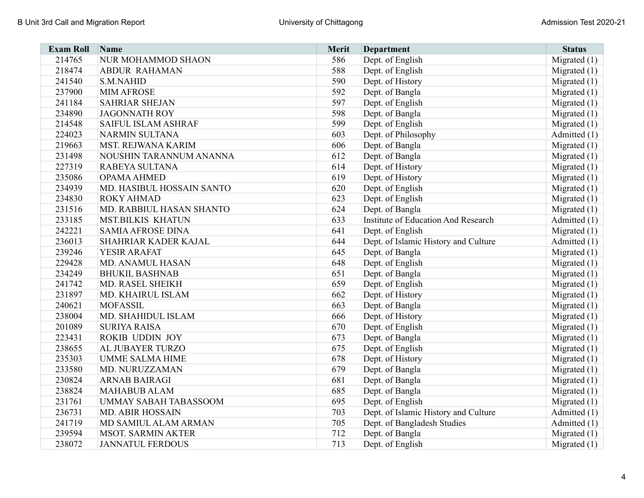| <b>Exam Roll</b> | Name                         | Merit | <b>Department</b>                    | <b>Status</b>  |
|------------------|------------------------------|-------|--------------------------------------|----------------|
| 214765           | NUR MOHAMMOD SHAON           | 586   | Dept. of English                     | Migrated $(1)$ |
| 218474           | <b>ABDUR RAHAMAN</b>         | 588   | Dept. of English                     | Migrated $(1)$ |
| 241540           | <b>S.M.NAHID</b>             | 590   | Dept. of History                     | Migrated $(1)$ |
| 237900           | <b>MIM AFROSE</b>            | 592   | Dept. of Bangla                      | Migrated $(1)$ |
| 241184           | <b>SAHRIAR SHEJAN</b>        | 597   | Dept. of English                     | Migrated $(1)$ |
| 234890           | <b>JAGONNATH ROY</b>         | 598   | Dept. of Bangla                      | Migrated $(1)$ |
| 214548           | <b>SAIFUL ISLAM ASHRAF</b>   | 599   | Dept. of English                     | Migrated $(1)$ |
| 224023           | <b>NARMIN SULTANA</b>        | 603   | Dept. of Philosophy                  | Admitted $(1)$ |
| 219663           | MST. REJWANA KARIM           | 606   | Dept. of Bangla                      | Migrated $(1)$ |
| 231498           | NOUSHIN TARANNUM ANANNA      | 612   | Dept. of Bangla                      | Migrated (1)   |
| 227319           | RABEYA SULTANA               | 614   | Dept. of History                     | Migrated $(1)$ |
| 235086           | OPAMA AHMED                  | 619   | Dept. of History                     | Migrated $(1)$ |
| 234939           | MD. HASIBUL HOSSAIN SANTO    | 620   | Dept. of English                     | Migrated $(1)$ |
| 234830           | <b>ROKY AHMAD</b>            | 623   | Dept. of English                     | Migrated $(1)$ |
| 231516           | MD. RABBIUL HASAN SHANTO     | 624   | Dept. of Bangla                      | Migrated $(1)$ |
| 233185           | MST.BILKIS KHATUN            | 633   | Institute of Education And Research  | Admitted (1)   |
| 242221           | <b>SAMIA AFROSE DINA</b>     | 641   | Dept. of English                     | Migrated $(1)$ |
| 236013           | SHAHRIAR KADER KAJAL         | 644   | Dept. of Islamic History and Culture | Admitted (1)   |
| 239246           | YESIR ARAFAT                 | 645   | Dept. of Bangla                      | Migrated $(1)$ |
| 229428           | MD. ANAMUL HASAN             | 648   | Dept. of English                     | Migrated $(1)$ |
| 234249           | <b>BHUKIL BASHNAB</b>        | 651   | Dept. of Bangla                      | Migrated $(1)$ |
| 241742           | MD. RASEL SHEIKH             | 659   | Dept. of English                     | Migrated $(1)$ |
| 231897           | MD. KHAIRUL ISLAM            | 662   | Dept. of History                     | Migrated $(1)$ |
| 240621           | <b>MOFASSIL</b>              | 663   | Dept. of Bangla                      | Migrated $(1)$ |
| 238004           | MD. SHAHIDUL ISLAM           | 666   | Dept. of History                     | Migrated $(1)$ |
| 201089           | <b>SURIYA RAISA</b>          | 670   | Dept. of English                     | Migrated $(1)$ |
| 223431           | ROKIB UDDIN JOY              | 673   | Dept. of Bangla                      | Migrated $(1)$ |
| 238655           | AL JUBAYER TURZO             | 675   | Dept. of English                     | Migrated $(1)$ |
| 235303           | <b>UMME SALMA HIME</b>       | 678   | Dept. of History                     | Migrated $(1)$ |
| 233580           | MD. NURUZZAMAN               | 679   | Dept. of Bangla                      | Migrated $(1)$ |
| 230824           | <b>ARNAB BAIRAGI</b>         | 681   | Dept. of Bangla                      | Migrated $(1)$ |
| 238824           | <b>MAHABUB ALAM</b>          | 685   | Dept. of Bangla                      | Migrated $(1)$ |
| 231761           | <b>UMMAY SABAH TABASSOOM</b> | 695   | Dept. of English                     | Migrated $(1)$ |
| 236731           | <b>MD. ABIR HOSSAIN</b>      | 703   | Dept. of Islamic History and Culture | Admitted (1)   |
| 241719           | MD SAMIUL ALAM ARMAN         | 705   | Dept. of Bangladesh Studies          | Admitted (1)   |
| 239594           | <b>MSOT. SARMIN AKTER</b>    | 712   | Dept. of Bangla                      | Migrated $(1)$ |
| 238072           | <b>JANNATUL FERDOUS</b>      | 713   | Dept. of English                     | Migrated $(1)$ |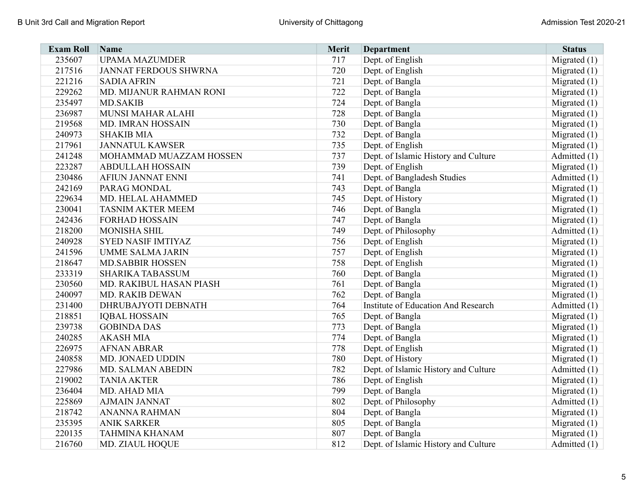| <b>Exam Roll</b> | Name                         | Merit | <b>Department</b>                          | <b>Status</b>  |
|------------------|------------------------------|-------|--------------------------------------------|----------------|
| 235607           | <b>UPAMA MAZUMDER</b>        | 717   | Dept. of English                           | Migrated $(1)$ |
| 217516           | <b>JANNAT FERDOUS SHWRNA</b> | 720   | Dept. of English                           | Migrated $(1)$ |
| 221216           | <b>SADIA AFRIN</b>           | 721   | Dept. of Bangla                            | Migrated $(1)$ |
| 229262           | MD. MIJANUR RAHMAN RONI      | 722   | Dept. of Bangla                            | Migrated $(1)$ |
| 235497           | <b>MD.SAKIB</b>              | 724   | Dept. of Bangla                            | Migrated $(1)$ |
| 236987           | MUNSI MAHAR ALAHI            | 728   | Dept. of Bangla                            | Migrated $(1)$ |
| 219568           | MD. IMRAN HOSSAIN            | 730   | Dept. of Bangla                            | Migrated $(1)$ |
| 240973           | <b>SHAKIB MIA</b>            | 732   | Dept. of Bangla                            | Migrated $(1)$ |
| 217961           | <b>JANNATUL KAWSER</b>       | 735   | Dept. of English                           | Migrated $(1)$ |
| 241248           | MOHAMMAD MUAZZAM HOSSEN      | 737   | Dept. of Islamic History and Culture       | Admitted (1)   |
| 223287           | <b>ABDULLAH HOSSAIN</b>      | 739   | Dept. of English                           | Migrated $(1)$ |
| 230486           | AFIUN JANNAT ENNI            | 741   | Dept. of Bangladesh Studies                | Admitted $(1)$ |
| 242169           | PARAG MONDAL                 | 743   | Dept. of Bangla                            | Migrated $(1)$ |
| 229634           | MD. HELAL AHAMMED            | 745   | Dept. of History                           | Migrated $(1)$ |
| 230041           | <b>TASNIM AKTER MEEM</b>     | 746   | Dept. of Bangla                            | Migrated $(1)$ |
| 242436           | <b>FORHAD HOSSAIN</b>        | 747   | Dept. of Bangla                            | Migrated $(1)$ |
| 218200           | <b>MONISHA SHIL</b>          | 749   | Dept. of Philosophy                        | Admitted (1)   |
| 240928           | <b>SYED NASIF IMTIYAZ</b>    | 756   | Dept. of English                           | Migrated $(1)$ |
| 241596           | <b>UMME SALMA JARIN</b>      | 757   | Dept. of English                           | Migrated $(1)$ |
| 218647           | <b>MD.SABBIR HOSSEN</b>      | 758   | Dept. of English                           | Migrated $(1)$ |
| 233319           | SHARIKA TABASSUM             | 760   | Dept. of Bangla                            | Migrated $(1)$ |
| 230560           | MD. RAKIBUL HASAN PIASH      | 761   | Dept. of Bangla                            | Migrated $(1)$ |
| 240097           | MD. RAKIB DEWAN              | 762   | Dept. of Bangla                            | Migrated $(1)$ |
| 231400           | DHRUBAJYOTI DEBNATH          | 764   | <b>Institute of Education And Research</b> | Admitted $(1)$ |
| 218851           | <b>IQBAL HOSSAIN</b>         | 765   | Dept. of Bangla                            | Migrated $(1)$ |
| 239738           | <b>GOBINDA DAS</b>           | 773   | Dept. of Bangla                            | Migrated $(1)$ |
| 240285           | <b>AKASH MIA</b>             | 774   | Dept. of Bangla                            | Migrated $(1)$ |
| 226975           | <b>AFNAN ABRAR</b>           | 778   | Dept. of English                           | Migrated $(1)$ |
| 240858           | MD. JONAED UDDIN             | 780   | Dept. of History                           | Migrated $(1)$ |
| 227986           | MD. SALMAN ABEDIN            | 782   | Dept. of Islamic History and Culture       | Admitted (1)   |
| 219002           | <b>TANIA AKTER</b>           | 786   | Dept. of English                           | Migrated $(1)$ |
| 236404           | MD. AHAD MIA                 | 799   | Dept. of Bangla                            | Migrated $(1)$ |
| 225869           | <b>AJMAIN JANNAT</b>         | 802   | Dept. of Philosophy                        | Admitted (1)   |
| 218742           | <b>ANANNA RAHMAN</b>         | 804   | Dept. of Bangla                            | Migrated $(1)$ |
| 235395           | <b>ANIK SARKER</b>           | 805   | Dept. of Bangla                            | Migrated $(1)$ |
| 220135           | <b>TAHMINA KHANAM</b>        | 807   | Dept. of Bangla                            | Migrated $(1)$ |
| 216760           | MD. ZIAUL HOQUE              | 812   | Dept. of Islamic History and Culture       | Admitted $(1)$ |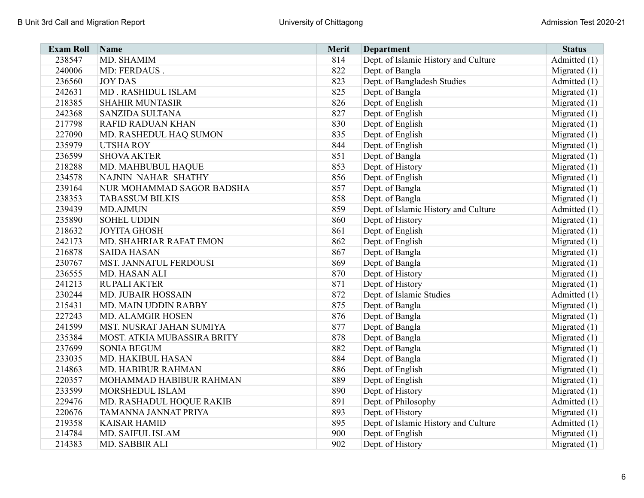| <b>Exam Roll</b> | Name                        | Merit | <b>Department</b>                    | <b>Status</b>  |
|------------------|-----------------------------|-------|--------------------------------------|----------------|
| 238547           | MD. SHAMIM                  | 814   | Dept. of Islamic History and Culture | Admitted (1)   |
| 240006           | MD: FERDAUS.                | 822   | Dept. of Bangla                      | Migrated $(1)$ |
| 236560           | <b>JOY DAS</b>              | 823   | Dept. of Bangladesh Studies          | Admitted (1)   |
| 242631           | MD. RASHIDUL ISLAM          | 825   | Dept. of Bangla                      | Migrated $(1)$ |
| 218385           | <b>SHAHIR MUNTASIR</b>      | 826   | Dept. of English                     | Migrated $(1)$ |
| 242368           | <b>SANZIDA SULTANA</b>      | 827   | Dept. of English                     | Migrated $(1)$ |
| 217798           | <b>RAFID RADUAN KHAN</b>    | 830   | Dept. of English                     | Migrated $(1)$ |
| 227090           | MD. RASHEDUL HAQ SUMON      | 835   | Dept. of English                     | Migrated (1)   |
| 235979           | <b>UTSHA ROY</b>            | 844   | Dept. of English                     | Migrated $(1)$ |
| 236599           | <b>SHOVA AKTER</b>          | 851   | Dept. of Bangla                      | Migrated $(1)$ |
| 218288           | MD. MAHBUBUL HAQUE          | 853   | Dept. of History                     | Migrated $(1)$ |
| 234578           | NAJNIN NAHAR SHATHY         | 856   | Dept. of English                     | Migrated $(1)$ |
| 239164           | NUR MOHAMMAD SAGOR BADSHA   | 857   | Dept. of Bangla                      | Migrated $(1)$ |
| 238353           | <b>TABASSUM BILKIS</b>      | 858   | Dept. of Bangla                      | Migrated $(1)$ |
| 239439           | <b>MD.AJMUN</b>             | 859   | Dept. of Islamic History and Culture | Admitted (1)   |
| 235890           | <b>SOHEL UDDIN</b>          | 860   | Dept. of History                     | Migrated $(1)$ |
| 218632           | <b>JOYITA GHOSH</b>         | 861   | Dept. of English                     | Migrated $(1)$ |
| 242173           | MD. SHAHRIAR RAFAT EMON     | 862   | Dept. of English                     | Migrated $(1)$ |
| 216878           | <b>SAIDA HASAN</b>          | 867   | Dept. of Bangla                      | Migrated $(1)$ |
| 230767           | MST. JANNATUL FERDOUSI      | 869   | Dept. of Bangla                      | Migrated $(1)$ |
| 236555           | MD. HASAN ALI               | 870   | Dept. of History                     | Migrated $(1)$ |
| 241213           | <b>RUPALI AKTER</b>         | 871   | Dept. of History                     | Migrated $(1)$ |
| 230244           | MD. JUBAIR HOSSAIN          | 872   | Dept. of Islamic Studies             | Admitted $(1)$ |
| 215431           | MD. MAIN UDDIN RABBY        | 875   | Dept. of Bangla                      | Migrated $(1)$ |
| 227243           | MD. ALAMGIR HOSEN           | 876   | Dept. of Bangla                      | Migrated $(1)$ |
| 241599           | MST. NUSRAT JAHAN SUMIYA    | 877   | Dept. of Bangla                      | Migrated $(1)$ |
| 235384           | MOST. ATKIA MUBASSIRA BRITY | 878   | Dept. of Bangla                      | Migrated $(1)$ |
| 237699           | <b>SONIA BEGUM</b>          | 882   | Dept. of Bangla                      | Migrated $(1)$ |
| 233035           | MD. HAKIBUL HASAN           | 884   | Dept. of Bangla                      | Migrated $(1)$ |
| 214863           | MD. HABIBUR RAHMAN          | 886   | Dept. of English                     | Migrated $(1)$ |
| 220357           | MOHAMMAD HABIBUR RAHMAN     | 889   | Dept. of English                     | Migrated $(1)$ |
| 233599           | MORSHEDUL ISLAM             | 890   | Dept. of History                     | Migrated $(1)$ |
| 229476           | MD. RASHADUL HOQUE RAKIB    | 891   | Dept. of Philosophy                  | Admitted (1)   |
| 220676           | TAMANNA JANNAT PRIYA        | 893   | Dept. of History                     | Migrated $(1)$ |
| 219358           | <b>KAISAR HAMID</b>         | 895   | Dept. of Islamic History and Culture | Admitted (1)   |
| 214784           | MD. SAIFUL ISLAM            | 900   | Dept. of English                     | Migrated $(1)$ |
| 214383           | MD. SABBIR ALI              | 902   | Dept. of History                     | Migrated $(1)$ |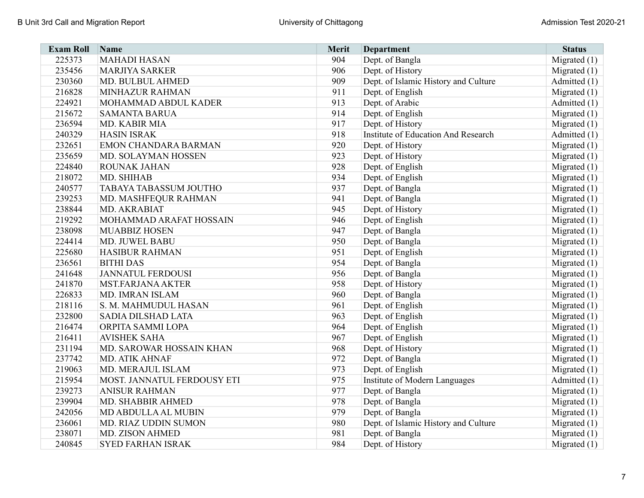| <b>Exam Roll</b> | Name                        | Merit | <b>Department</b>                    | <b>Status</b>  |
|------------------|-----------------------------|-------|--------------------------------------|----------------|
| 225373           | <b>MAHADI HASAN</b>         | 904   | Dept. of Bangla                      | Migrated $(1)$ |
| 235456           | <b>MARJIYA SARKER</b>       | 906   | Dept. of History                     | Migrated $(1)$ |
| 230360           | MD. BULBUL AHMED            | 909   | Dept. of Islamic History and Culture | Admitted (1)   |
| 216828           | MINHAZUR RAHMAN             | 911   | Dept. of English                     | Migrated $(1)$ |
| 224921           | MOHAMMAD ABDUL KADER        | 913   | Dept. of Arabic                      | Admitted (1)   |
| 215672           | <b>SAMANTA BARUA</b>        | 914   | Dept. of English                     | Migrated $(1)$ |
| 236594           | MD. KABIR MIA               | 917   | Dept. of History                     | Migrated $(1)$ |
| 240329           | <b>HASIN ISRAK</b>          | 918   | Institute of Education And Research  | Admitted $(1)$ |
| 232651           | <b>EMON CHANDARA BARMAN</b> | 920   | Dept. of History                     | Migrated $(1)$ |
| 235659           | MD. SOLAYMAN HOSSEN         | 923   | Dept. of History                     | Migrated $(1)$ |
| 224840           | <b>ROUNAK JAHAN</b>         | 928   | Dept. of English                     | Migrated $(1)$ |
| 218072           | MD. SHIHAB                  | 934   | Dept. of English                     | Migrated $(1)$ |
| 240577           | TABAYA TABASSUM JOUTHO      | 937   | Dept. of Bangla                      | Migrated $(1)$ |
| 239253           | MD. MASHFEQUR RAHMAN        | 941   | Dept. of Bangla                      | Migrated $(1)$ |
| 238844           | MD. AKRABIAT                | 945   | Dept. of History                     | Migrated $(1)$ |
| 219292           | MOHAMMAD ARAFAT HOSSAIN     | 946   | Dept. of English                     | Migrated $(1)$ |
| 238098           | MUABBIZ HOSEN               | 947   | Dept. of Bangla                      | Migrated $(1)$ |
| 224414           | MD. JUWEL BABU              | 950   | Dept. of Bangla                      | Migrated $(1)$ |
| 225680           | <b>HASIBUR RAHMAN</b>       | 951   | Dept. of English                     | Migrated $(1)$ |
| 236561           | <b>BITHI DAS</b>            | 954   | Dept. of Bangla                      | Migrated $(1)$ |
| 241648           | <b>JANNATUL FERDOUSI</b>    | 956   | Dept. of Bangla                      | Migrated $(1)$ |
| 241870           | <b>MST.FARJANA AKTER</b>    | 958   | Dept. of History                     | Migrated $(1)$ |
| 226833           | MD. IMRAN ISLAM             | 960   | Dept. of Bangla                      | Migrated $(1)$ |
| 218116           | S. M. MAHMUDUL HASAN        | 961   | Dept. of English                     | Migrated $(1)$ |
| 232800           | SADIA DILSHAD LATA          | 963   | Dept. of English                     | Migrated $(1)$ |
| 216474           | ORPITA SAMMI LOPA           | 964   | Dept. of English                     | Migrated $(1)$ |
| 216411           | <b>AVISHEK SAHA</b>         | 967   | Dept. of English                     | Migrated $(1)$ |
| 231194           | MD. SAROWAR HOSSAIN KHAN    | 968   | Dept. of History                     | Migrated $(1)$ |
| 237742           | MD. ATIK AHNAF              | 972   | Dept. of Bangla                      | Migrated $(1)$ |
| 219063           | MD. MERAJUL ISLAM           | 973   | Dept. of English                     | Migrated $(1)$ |
| 215954           | MOST. JANNATUL FERDOUSY ETI | 975   | <b>Institute of Modern Languages</b> | Admitted (1)   |
| 239273           | <b>ANISUR RAHMAN</b>        | 977   | Dept. of Bangla                      | Migrated $(1)$ |
| 239904           | MD. SHABBIR AHMED           | 978   | Dept. of Bangla                      | Migrated $(1)$ |
| 242056           | MD ABDULLA AL MUBIN         | 979   | Dept. of Bangla                      | Migrated $(1)$ |
| 236061           | MD. RIAZ UDDIN SUMON        | 980   | Dept. of Islamic History and Culture | Migrated $(1)$ |
| 238071           | MD. ZISON AHMED             | 981   | Dept. of Bangla                      | Migrated $(1)$ |
| 240845           | <b>SYED FARHAN ISRAK</b>    | 984   | Dept. of History                     | Migrated $(1)$ |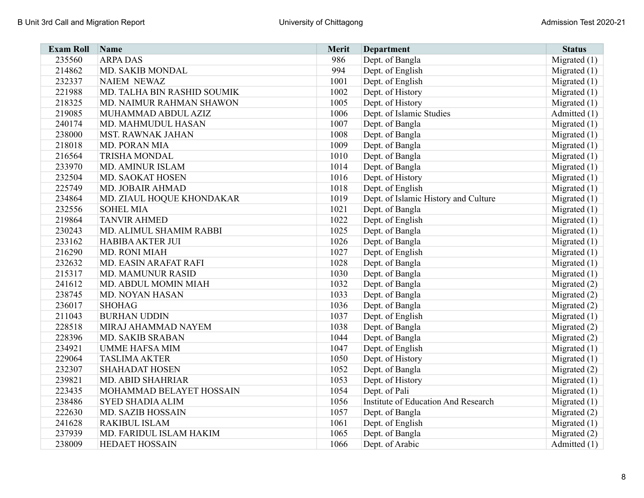| <b>Exam Roll</b> | Name                        | <b>Merit</b> | <b>Department</b>                          | <b>Status</b>  |
|------------------|-----------------------------|--------------|--------------------------------------------|----------------|
| 235560           | <b>ARPADAS</b>              | 986          | Dept. of Bangla                            | Migrated $(1)$ |
| 214862           | MD. SAKIB MONDAL            | 994          | Dept. of English                           | Migrated $(1)$ |
| 232337           | <b>NAIEM NEWAZ</b>          | 1001         | Dept. of English                           | Migrated $(1)$ |
| 221988           | MD. TALHA BIN RASHID SOUMIK | 1002         | Dept. of History                           | Migrated $(1)$ |
| 218325           | MD. NAIMUR RAHMAN SHAWON    | 1005         | Dept. of History                           | Migrated $(1)$ |
| 219085           | MUHAMMAD ABDUL AZIZ         | 1006         | Dept. of Islamic Studies                   | Admitted (1)   |
| 240174           | MD. MAHMUDUL HASAN          | 1007         | Dept. of Bangla                            | Migrated $(1)$ |
| 238000           | MST. RAWNAK JAHAN           | 1008         | Dept. of Bangla                            | Migrated $(1)$ |
| 218018           | MD. PORAN MIA               | 1009         | Dept. of Bangla                            | Migrated $(1)$ |
| 216564           | <b>TRISHA MONDAL</b>        | 1010         | Dept. of Bangla                            | Migrated $(1)$ |
| 233970           | <b>MD. AMINUR ISLAM</b>     | 1014         | Dept. of Bangla                            | Migrated $(1)$ |
| 232504           | MD. SAOKAT HOSEN            | 1016         | Dept. of History                           | Migrated $(1)$ |
| 225749           | MD. JOBAIR AHMAD            | 1018         | Dept. of English                           | Migrated $(1)$ |
| 234864           | MD. ZIAUL HOQUE KHONDAKAR   | 1019         | Dept. of Islamic History and Culture       | Migrated $(1)$ |
| 232556           | <b>SOHEL MIA</b>            | 1021         | Dept. of Bangla                            | Migrated $(1)$ |
| 219864           | <b>TANVIR AHMED</b>         | 1022         | Dept. of English                           | Migrated $(1)$ |
| 230243           | MD. ALIMUL SHAMIM RABBI     | 1025         | Dept. of Bangla                            | Migrated $(1)$ |
| 233162           | <b>HABIBA AKTER JUI</b>     | 1026         | Dept. of Bangla                            | Migrated $(1)$ |
| 216290           | <b>MD. RONI MIAH</b>        | 1027         | Dept. of English                           | Migrated $(1)$ |
| 232632           | MD. EASIN ARAFAT RAFI       | 1028         | Dept. of Bangla                            | Migrated $(1)$ |
| 215317           | <b>MD. MAMUNUR RASID</b>    | 1030         | Dept. of Bangla                            | Migrated $(1)$ |
| 241612           | MD. ABDUL MOMIN MIAH        | 1032         | Dept. of Bangla                            | Migrated $(2)$ |
| 238745           | MD. NOYAN HASAN             | 1033         | Dept. of Bangla                            | Migrated $(2)$ |
| 236017           | <b>SHOHAG</b>               | 1036         | Dept. of Bangla                            | Migrated $(2)$ |
| 211043           | <b>BURHAN UDDIN</b>         | 1037         | Dept. of English                           | Migrated $(1)$ |
| 228518           | MIRAJ AHAMMAD NAYEM         | 1038         | Dept. of Bangla                            | Migrated $(2)$ |
| 228396           | MD. SAKIB SRABAN            | 1044         | Dept. of Bangla                            | Migrated (2)   |
| 234921           | <b>UMME HAFSA MIM</b>       | 1047         | Dept. of English                           | Migrated $(1)$ |
| 229064           | <b>TASLIMA AKTER</b>        | 1050         | Dept. of History                           | Migrated $(1)$ |
| 232307           | <b>SHAHADAT HOSEN</b>       | 1052         | Dept. of Bangla                            | Migrated (2)   |
| 239821           | <b>MD. ABID SHAHRIAR</b>    | 1053         | Dept. of History                           | Migrated $(1)$ |
| 223435           | MOHAMMAD BELAYET HOSSAIN    | 1054         | Dept. of Pali                              | Migrated $(1)$ |
| 238486           | <b>SYED SHADIA ALIM</b>     | 1056         | <b>Institute of Education And Research</b> | Migrated $(1)$ |
| 222630           | <b>MD. SAZIB HOSSAIN</b>    | 1057         | Dept. of Bangla                            | Migrated $(2)$ |
| 241628           | RAKIBUL ISLAM               | 1061         | Dept. of English                           | Migrated $(1)$ |
| 237939           | MD. FARIDUL ISLAM HAKIM     | 1065         | Dept. of Bangla                            | Migrated $(2)$ |
| 238009           | <b>HEDAET HOSSAIN</b>       | 1066         | Dept. of Arabic                            | Admitted $(1)$ |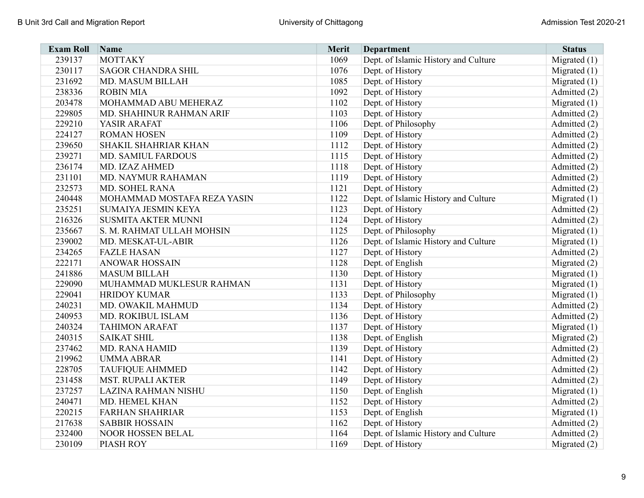| <b>Exam Roll</b> | Name                        | <b>Merit</b> | <b>Department</b>                    | <b>Status</b>  |
|------------------|-----------------------------|--------------|--------------------------------------|----------------|
| 239137           | <b>MOTTAKY</b>              | 1069         | Dept. of Islamic History and Culture | Migrated $(1)$ |
| 230117           | <b>SAGOR CHANDRA SHIL</b>   | 1076         | Dept. of History                     | Migrated $(1)$ |
| 231692           | MD. MASUM BILLAH            | 1085         | Dept. of History                     | Migrated $(1)$ |
| 238336           | <b>ROBIN MIA</b>            | 1092         | Dept. of History                     | Admitted (2)   |
| 203478           | MOHAMMAD ABU MEHERAZ        | 1102         | Dept. of History                     | Migrated $(1)$ |
| 229805           | MD. SHAHINUR RAHMAN ARIF    | 1103         | Dept. of History                     | Admitted (2)   |
| 229210           | YASIR ARAFAT                | 1106         | Dept. of Philosophy                  | Admitted (2)   |
| 224127           | <b>ROMAN HOSEN</b>          | 1109         | Dept. of History                     | Admitted (2)   |
| 239650           | <b>SHAKIL SHAHRIAR KHAN</b> | 1112         | Dept. of History                     | Admitted (2)   |
| 239271           | <b>MD. SAMIUL FARDOUS</b>   | 1115         | Dept. of History                     | Admitted (2)   |
| 236174           | MD. IZAZ AHMED              | 1118         | Dept. of History                     | Admitted (2)   |
| 231101           | MD. NAYMUR RAHAMAN          | 1119         | Dept. of History                     | Admitted (2)   |
| 232573           | MD. SOHEL RANA              | 1121         | Dept. of History                     | Admitted (2)   |
| 240448           | MOHAMMAD MOSTAFA REZA YASIN | 1122         | Dept. of Islamic History and Culture | Migrated $(1)$ |
| 235251           | <b>SUMAIYA JESMIN KEYA</b>  | 1123         | Dept. of History                     | Admitted (2)   |
| 216326           | <b>SUSMITA AKTER MUNNI</b>  | 1124         | Dept. of History                     | Admitted (2)   |
| 235667           | S. M. RAHMAT ULLAH MOHSIN   | 1125         | Dept. of Philosophy                  | Migrated $(1)$ |
| 239002           | MD. MESKAT-UL-ABIR          | 1126         | Dept. of Islamic History and Culture | Migrated $(1)$ |
| 234265           | <b>FAZLE HASAN</b>          | 1127         | Dept. of History                     | Admitted (2)   |
| 222171           | <b>ANOWAR HOSSAIN</b>       | 1128         | Dept. of English                     | Migrated $(2)$ |
| 241886           | <b>MASUM BILLAH</b>         | 1130         | Dept. of History                     | Migrated $(1)$ |
| 229090           | MUHAMMAD MUKLESUR RAHMAN    | 1131         | Dept. of History                     | Migrated $(1)$ |
| 229041           | <b>HRIDOY KUMAR</b>         | 1133         | Dept. of Philosophy                  | Migrated $(1)$ |
| 240231           | MD. OWAKIL MAHMUD           | 1134         | Dept. of History                     | Admitted (2)   |
| 240953           | MD. ROKIBUL ISLAM           | 1136         | Dept. of History                     | Admitted (2)   |
| 240324           | <b>TAHIMON ARAFAT</b>       | 1137         | Dept. of History                     | Migrated $(1)$ |
| 240315           | <b>SAIKAT SHIL</b>          | 1138         | Dept. of English                     | Migrated (2)   |
| 237462           | <b>MD. RANA HAMID</b>       | 1139         | Dept. of History                     | Admitted (2)   |
| 219962           | <b>UMMA ABRAR</b>           | 1141         | Dept. of History                     | Admitted (2)   |
| 228705           | <b>TAUFIQUE AHMMED</b>      | 1142         | Dept. of History                     | Admitted (2)   |
| 231458           | <b>MST. RUPALI AKTER</b>    | 1149         | Dept. of History                     | Admitted (2)   |
| 237257           | LAZINA RAHMAN NISHU         | 1150         | Dept. of English                     | Migrated $(1)$ |
| 240471           | MD. HEMEL KHAN              | 1152         | Dept. of History                     | Admitted (2)   |
| 220215           | <b>FARHAN SHAHRIAR</b>      | 1153         | Dept. of English                     | Migrated $(1)$ |
| 217638           | <b>SABBIR HOSSAIN</b>       | 1162         | Dept. of History                     | Admitted (2)   |
| 232400           | <b>NOOR HOSSEN BELAL</b>    | 1164         | Dept. of Islamic History and Culture | Admitted (2)   |
| 230109           | <b>PIASH ROY</b>            | 1169         | Dept. of History                     | Migrated $(2)$ |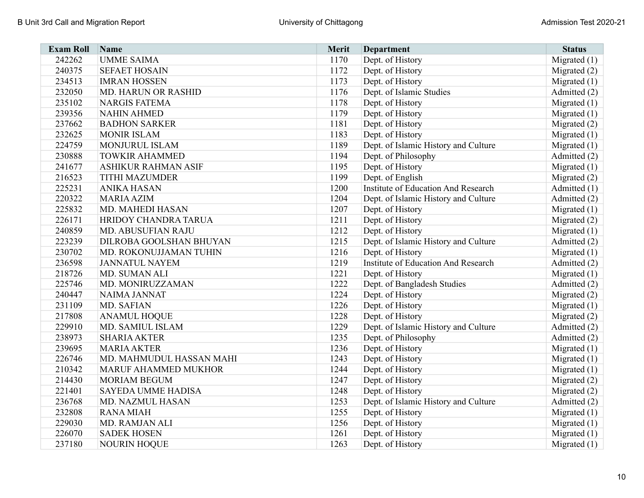| <b>Exam Roll</b> | Name                        | <b>Merit</b> | <b>Department</b>                    | <b>Status</b>  |
|------------------|-----------------------------|--------------|--------------------------------------|----------------|
| 242262           | <b>UMME SAIMA</b>           | 1170         | Dept. of History                     | Migrated $(1)$ |
| 240375           | <b>SEFAET HOSAIN</b>        | 1172         | Dept. of History                     | Migrated $(2)$ |
| 234513           | <b>IMRAN HOSSEN</b>         | 1173         | Dept. of History                     | Migrated $(1)$ |
| 232050           | MD. HARUN OR RASHID         | 1176         | Dept. of Islamic Studies             | Admitted (2)   |
| 235102           | <b>NARGIS FATEMA</b>        | 1178         | Dept. of History                     | Migrated $(1)$ |
| 239356           | <b>NAHIN AHMED</b>          | 1179         | Dept. of History                     | Migrated $(1)$ |
| 237662           | <b>BADHON SARKER</b>        | 1181         | Dept. of History                     | Migrated $(2)$ |
| 232625           | <b>MONIR ISLAM</b>          | 1183         | Dept. of History                     | Migrated $(1)$ |
| 224759           | MONJURUL ISLAM              | 1189         | Dept. of Islamic History and Culture | Migrated $(1)$ |
| 230888           | <b>TOWKIR AHAMMED</b>       | 1194         | Dept. of Philosophy                  | Admitted (2)   |
| 241677           | <b>ASHIKUR RAHMAN ASIF</b>  | 1195         | Dept. of History                     | Migrated $(1)$ |
| 216523           | <b>TITHI MAZUMDER</b>       | 1199         | Dept. of English                     | Migrated $(2)$ |
| 225231           | <b>ANIKA HASAN</b>          | 1200         | Institute of Education And Research  | Admitted (1)   |
| 220322           | <b>MARIA AZIM</b>           | 1204         | Dept. of Islamic History and Culture | Admitted (2)   |
| 225832           | MD. MAHEDI HASAN            | 1207         | Dept. of History                     | Migrated $(1)$ |
| 226171           | HRIDOY CHANDRA TARUA        | 1211         | Dept. of History                     | Migrated $(2)$ |
| 240859           | MD. ABUSUFIAN RAJU          | 1212         | Dept. of History                     | Migrated $(1)$ |
| 223239           | DILROBA GOOLSHAN BHUYAN     | 1215         | Dept. of Islamic History and Culture | Admitted (2)   |
| 230702           | MD. ROKONUJJAMAN TUHIN      | 1216         | Dept. of History                     | Migrated $(1)$ |
| 236598           | <b>JANNATUL NAYEM</b>       | 1219         | Institute of Education And Research  | Admitted (2)   |
| 218726           | MD. SUMAN ALI               | 1221         | Dept. of History                     | Migrated $(1)$ |
| 225746           | MD. MONIRUZZAMAN            | 1222         | Dept. of Bangladesh Studies          | Admitted (2)   |
| 240447           | NAIMA JANNAT                | 1224         | Dept. of History                     | Migrated $(2)$ |
| 231109           | MD. SAFIAN                  | 1226         | Dept. of History                     | Migrated $(1)$ |
| 217808           | <b>ANAMUL HOQUE</b>         | 1228         | Dept. of History                     | Migrated $(2)$ |
| 229910           | MD. SAMIUL ISLAM            | 1229         | Dept. of Islamic History and Culture | Admitted (2)   |
| 238973           | <b>SHARIA AKTER</b>         | 1235         | Dept. of Philosophy                  | Admitted (2)   |
| 239695           | <b>MARIA AKTER</b>          | 1236         | Dept. of History                     | Migrated $(1)$ |
| 226746           | MD. MAHMUDUL HASSAN MAHI    | 1243         | Dept. of History                     | Migrated $(1)$ |
| 210342           | <b>MARUF AHAMMED MUKHOR</b> | 1244         | Dept. of History                     | Migrated $(1)$ |
| 214430           | <b>MORIAM BEGUM</b>         | 1247         | Dept. of History                     | Migrated (2)   |
| 221401           | <b>SAYEDA UMME HADISA</b>   | 1248         | Dept. of History                     | Migrated $(2)$ |
| 236768           | MD. NAZMUL HASAN            | 1253         | Dept. of Islamic History and Culture | Admitted (2)   |
| 232808           | <b>RANA MIAH</b>            | 1255         | Dept. of History                     | Migrated $(1)$ |
| 229030           | MD. RAMJAN ALI              | 1256         | Dept. of History                     | Migrated $(1)$ |
| 226070           | <b>SADEK HOSEN</b>          | 1261         | Dept. of History                     | Migrated $(1)$ |
| 237180           | <b>NOURIN HOQUE</b>         | 1263         | Dept. of History                     | Migrated $(1)$ |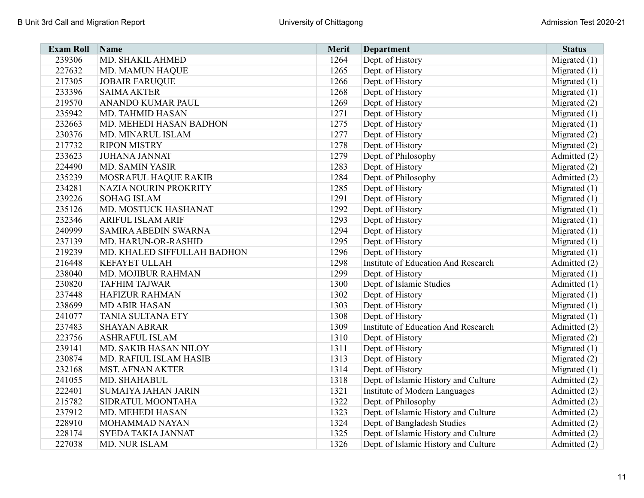| <b>Exam Roll</b> | Name                        | Merit | <b>Department</b>                          | <b>Status</b>  |
|------------------|-----------------------------|-------|--------------------------------------------|----------------|
| 239306           | MD. SHAKIL AHMED            | 1264  | Dept. of History                           | Migrated $(1)$ |
| 227632           | MD. MAMUN HAQUE             | 1265  | Dept. of History                           | Migrated $(1)$ |
| 217305           | <b>JOBAIR FARUQUE</b>       | 1266  | Dept. of History                           | Migrated $(1)$ |
| 233396           | <b>SAIMA AKTER</b>          | 1268  | Dept. of History                           | Migrated $(1)$ |
| 219570           | ANANDO KUMAR PAUL           | 1269  | Dept. of History                           | Migrated $(2)$ |
| 235942           | MD. TAHMID HASAN            | 1271  | Dept. of History                           | Migrated $(1)$ |
| 232663           | MD. MEHEDI HASAN BADHON     | 1275  | Dept. of History                           | Migrated $(1)$ |
| 230376           | MD. MINARUL ISLAM           | 1277  | Dept. of History                           | Migrated $(2)$ |
| 217732           | <b>RIPON MISTRY</b>         | 1278  | Dept. of History                           | Migrated $(2)$ |
| 233623           | <b>JUHANA JANNAT</b>        | 1279  | Dept. of Philosophy                        | Admitted (2)   |
| 224490           | <b>MD. SAMIN YASIR</b>      | 1283  | Dept. of History                           | Migrated $(2)$ |
| 235239           | MOSRAFUL HAQUE RAKIB        | 1284  | Dept. of Philosophy                        | Admitted (2)   |
| 234281           | NAZIA NOURIN PROKRITY       | 1285  | Dept. of History                           | Migrated $(1)$ |
| 239226           | <b>SOHAG ISLAM</b>          | 1291  | Dept. of History                           | Migrated $(1)$ |
| 235126           | MD. MOSTUCK HASHANAT        | 1292  | Dept. of History                           | Migrated $(1)$ |
| 232346           | <b>ARIFUL ISLAM ARIF</b>    | 1293  | Dept. of History                           | Migrated $(1)$ |
| 240999           | SAMIRA ABEDIN SWARNA        | 1294  | Dept. of History                           | Migrated $(1)$ |
| 237139           | MD. HARUN-OR-RASHID         | 1295  | Dept. of History                           | Migrated $(1)$ |
| 219239           | MD. KHALED SIFFULLAH BADHON | 1296  | Dept. of History                           | Migrated $(1)$ |
| 216448           | <b>KEFAYET ULLAH</b>        | 1298  | <b>Institute of Education And Research</b> | Admitted (2)   |
| 238040           | MD. MOJIBUR RAHMAN          | 1299  | Dept. of History                           | Migrated $(1)$ |
| 230820           | <b>TAFHIM TAJWAR</b>        | 1300  | Dept. of Islamic Studies                   | Admitted (1)   |
| 237448           | <b>HAFIZUR RAHMAN</b>       | 1302  | Dept. of History                           | Migrated $(1)$ |
| 238699           | <b>MD ABIR HASAN</b>        | 1303  | Dept. of History                           | Migrated $(1)$ |
| 241077           | <b>TANIA SULTANA ETY</b>    | 1308  | Dept. of History                           | Migrated $(1)$ |
| 237483           | <b>SHAYAN ABRAR</b>         | 1309  | Institute of Education And Research        | Admitted (2)   |
| 223756           | <b>ASHRAFUL ISLAM</b>       | 1310  | Dept. of History                           | Migrated $(2)$ |
| 239141           | MD. SAKIB HASAN NILOY       | 1311  | Dept. of History                           | Migrated $(1)$ |
| 230874           | MD. RAFIUL ISLAM HASIB      | 1313  | Dept. of History                           | Migrated (2)   |
| 232168           | <b>MST. AFNAN AKTER</b>     | 1314  | Dept. of History                           | Migrated $(1)$ |
| 241055           | MD. SHAHABUL                | 1318  | Dept. of Islamic History and Culture       | Admitted (2)   |
| 222401           | <b>SUMAIYA JAHAN JARIN</b>  | 1321  | <b>Institute of Modern Languages</b>       | Admitted (2)   |
| 215782           | SIDRATUL MOONTAHA           | 1322  | Dept. of Philosophy                        | Admitted (2)   |
| 237912           | MD. MEHEDI HASAN            | 1323  | Dept. of Islamic History and Culture       | Admitted (2)   |
| 228910           | MOHAMMAD NAYAN              | 1324  | Dept. of Bangladesh Studies                | Admitted (2)   |
| 228174           | SYEDA TAKIA JANNAT          | 1325  | Dept. of Islamic History and Culture       | Admitted (2)   |
| 227038           | MD. NUR ISLAM               | 1326  | Dept. of Islamic History and Culture       | Admitted (2)   |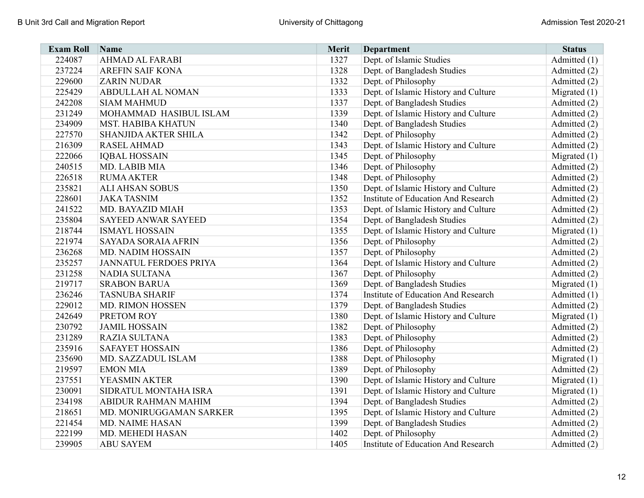| <b>Exam Roll Name</b> |                               | Merit | <b>Department</b>                          | <b>Status</b>  |
|-----------------------|-------------------------------|-------|--------------------------------------------|----------------|
| 224087                | <b>AHMAD AL FARABI</b>        | 1327  | Dept. of Islamic Studies                   | Admitted (1)   |
| 237224                | <b>AREFIN SAIF KONA</b>       | 1328  | Dept. of Bangladesh Studies                | Admitted (2)   |
| 229600                | <b>ZARIN NUDAR</b>            | 1332  | Dept. of Philosophy                        | Admitted (2)   |
| 225429                | ABDULLAH AL NOMAN             | 1333  | Dept. of Islamic History and Culture       | Migrated $(1)$ |
| 242208                | <b>SIAM MAHMUD</b>            | 1337  | Dept. of Bangladesh Studies                | Admitted (2)   |
| 231249                | MOHAMMAD HASIBUL ISLAM        | 1339  | Dept. of Islamic History and Culture       | Admitted (2)   |
| 234909                | <b>MST. HABIBA KHATUN</b>     | 1340  | Dept. of Bangladesh Studies                | Admitted (2)   |
| 227570                | <b>SHANJIDA AKTER SHILA</b>   | 1342  | Dept. of Philosophy                        | Admitted (2)   |
| 216309                | <b>RASEL AHMAD</b>            | 1343  | Dept. of Islamic History and Culture       | Admitted (2)   |
| 222066                | <b>IQBAL HOSSAIN</b>          | 1345  | Dept. of Philosophy                        | Migrated $(1)$ |
| 240515                | MD. LABIB MIA                 | 1346  | Dept. of Philosophy                        | Admitted (2)   |
| 226518                | <b>RUMA AKTER</b>             | 1348  | Dept. of Philosophy                        | Admitted (2)   |
| 235821                | <b>ALI AHSAN SOBUS</b>        | 1350  | Dept. of Islamic History and Culture       | Admitted (2)   |
| 228601                | <b>JAKA TASNIM</b>            | 1352  | <b>Institute of Education And Research</b> | Admitted (2)   |
| 241522                | MD. BAYAZID MIAH              | 1353  | Dept. of Islamic History and Culture       | Admitted (2)   |
| 235804                | <b>SAYEED ANWAR SAYEED</b>    | 1354  | Dept. of Bangladesh Studies                | Admitted (2)   |
| 218744                | <b>ISMAYL HOSSAIN</b>         | 1355  | Dept. of Islamic History and Culture       | Migrated $(1)$ |
| 221974                | <b>SAYADA SORAIA AFRIN</b>    | 1356  | Dept. of Philosophy                        | Admitted (2)   |
| 236268                | <b>MD. NADIM HOSSAIN</b>      | 1357  | Dept. of Philosophy                        | Admitted (2)   |
| 235257                | <b>JANNATUL FERDOES PRIYA</b> | 1364  | Dept. of Islamic History and Culture       | Admitted (2)   |
| 231258                | NADIA SULTANA                 | 1367  | Dept. of Philosophy                        | Admitted (2)   |
| 219717                | <b>SRABON BARUA</b>           | 1369  | Dept. of Bangladesh Studies                | Migrated $(1)$ |
| 236246                | <b>TASNUBA SHARIF</b>         | 1374  | Institute of Education And Research        | Admitted (1)   |
| 229012                | <b>MD. RIMON HOSSEN</b>       | 1379  | Dept. of Bangladesh Studies                | Admitted (2)   |
| 242649                | PRETOM ROY                    | 1380  | Dept. of Islamic History and Culture       | Migrated $(1)$ |
| 230792                | <b>JAMIL HOSSAIN</b>          | 1382  | Dept. of Philosophy                        | Admitted (2)   |
| 231289                | <b>RAZIA SULTANA</b>          | 1383  | Dept. of Philosophy                        | Admitted (2)   |
| 235916                | <b>SAFAYET HOSSAIN</b>        | 1386  | Dept. of Philosophy                        | Admitted (2)   |
| 235690                | MD. SAZZADUL ISLAM            | 1388  | Dept. of Philosophy                        | Migrated $(1)$ |
| 219597                | <b>EMON MIA</b>               | 1389  | Dept. of Philosophy                        | Admitted (2)   |
| 237551                | YEASMIN AKTER                 | 1390  | Dept. of Islamic History and Culture       | Migrated $(1)$ |
| 230091                | SIDRATUL MONTAHA ISRA         | 1391  | Dept. of Islamic History and Culture       | Migrated $(1)$ |
| 234198                | ABIDUR RAHMAN MAHIM           | 1394  | Dept. of Bangladesh Studies                | Admitted (2)   |
| 218651                | MD. MONIRUGGAMAN SARKER       | 1395  | Dept. of Islamic History and Culture       | Admitted (2)   |
| 221454                | <b>MD. NAIME HASAN</b>        | 1399  | Dept. of Bangladesh Studies                | Admitted (2)   |
| 222199                | MD. MEHEDI HASAN              | 1402  | Dept. of Philosophy                        | Admitted (2)   |
| 239905                | <b>ABU SAYEM</b>              | 1405  | Institute of Education And Research        | Admitted (2)   |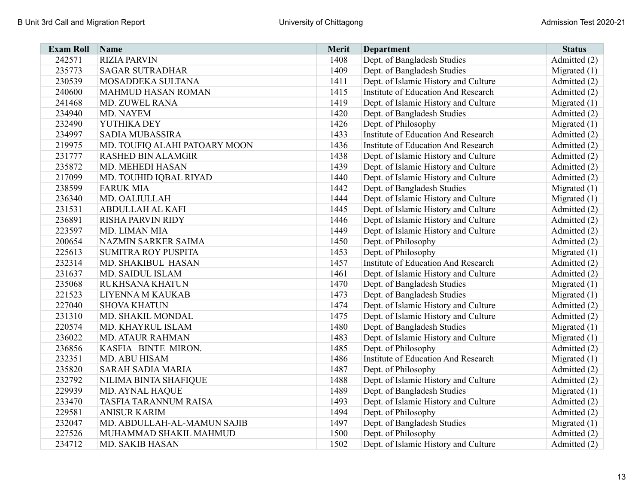| <b>Exam Roll</b> | Name                          | Merit | <b>Department</b>                          | <b>Status</b>  |
|------------------|-------------------------------|-------|--------------------------------------------|----------------|
| 242571           | <b>RIZIA PARVIN</b>           | 1408  | Dept. of Bangladesh Studies                | Admitted (2)   |
| 235773           | <b>SAGAR SUTRADHAR</b>        | 1409  | Dept. of Bangladesh Studies                | Migrated $(1)$ |
| 230539           | MOSADDEKA SULTANA             | 1411  | Dept. of Islamic History and Culture       | Admitted (2)   |
| 240600           | <b>MAHMUD HASAN ROMAN</b>     | 1415  | Institute of Education And Research        | Admitted (2)   |
| 241468           | MD. ZUWEL RANA                | 1419  | Dept. of Islamic History and Culture       | Migrated $(1)$ |
| 234940           | MD. NAYEM                     | 1420  | Dept. of Bangladesh Studies                | Admitted (2)   |
| 232490           | YUTHIKA DEY                   | 1426  | Dept. of Philosophy                        | Migrated $(1)$ |
| 234997           | <b>SADIA MUBASSIRA</b>        | 1433  | Institute of Education And Research        | Admitted (2)   |
| 219975           | MD. TOUFIQ ALAHI PATOARY MOON | 1436  | Institute of Education And Research        | Admitted (2)   |
| 231777           | <b>RASHED BIN ALAMGIR</b>     | 1438  | Dept. of Islamic History and Culture       | Admitted (2)   |
| 235872           | MD. MEHEDI HASAN              | 1439  | Dept. of Islamic History and Culture       | Admitted (2)   |
| 217099           | MD. TOUHID IQBAL RIYAD        | 1440  | Dept. of Islamic History and Culture       | Admitted (2)   |
| 238599           | <b>FARUK MIA</b>              | 1442  | Dept. of Bangladesh Studies                | Migrated $(1)$ |
| 236340           | MD. OALIULLAH                 | 1444  | Dept. of Islamic History and Culture       | Migrated $(1)$ |
| 231531           | <b>ABDULLAH AL KAFI</b>       | 1445  | Dept. of Islamic History and Culture       | Admitted (2)   |
| 236891           | <b>RISHA PARVIN RIDY</b>      | 1446  | Dept. of Islamic History and Culture       | Admitted (2)   |
| 223597           | MD. LIMAN MIA                 | 1449  | Dept. of Islamic History and Culture       | Admitted (2)   |
| 200654           | <b>NAZMIN SARKER SAIMA</b>    | 1450  | Dept. of Philosophy                        | Admitted (2)   |
| 225613           | SUMITRA ROY PUSPITA           | 1453  | Dept. of Philosophy                        | Migrated $(1)$ |
| 232314           | MD. SHAKIBUL HASAN            | 1457  | Institute of Education And Research        | Admitted (2)   |
| 231637           | MD. SAIDUL ISLAM              | 1461  | Dept. of Islamic History and Culture       | Admitted (2)   |
| 235068           | RUKHSANA KHATUN               | 1470  | Dept. of Bangladesh Studies                | Migrated $(1)$ |
| 221523           | LIYENNA M KAUKAB              | 1473  | Dept. of Bangladesh Studies                | Migrated $(1)$ |
| 227040           | <b>SHOVA KHATUN</b>           | 1474  | Dept. of Islamic History and Culture       | Admitted (2)   |
| 231310           | MD. SHAKIL MONDAL             | 1475  | Dept. of Islamic History and Culture       | Admitted (2)   |
| 220574           | MD. KHAYRUL ISLAM             | 1480  | Dept. of Bangladesh Studies                | Migrated $(1)$ |
| 236022           | MD. ATAUR RAHMAN              | 1483  | Dept. of Islamic History and Culture       | Migrated $(1)$ |
| 236856           | KASFIA BINTE MIRON.           | 1485  | Dept. of Philosophy                        | Admitted (2)   |
| 232351           | MD. ABU HISAM                 | 1486  | <b>Institute of Education And Research</b> | Migrated $(1)$ |
| 235820           | <b>SARAH SADIA MARIA</b>      | 1487  | Dept. of Philosophy                        | Admitted (2)   |
| 232792           | NILIMA BINTA SHAFIQUE         | 1488  | Dept. of Islamic History and Culture       | Admitted (2)   |
| 229939           | MD. AYNAL HAQUE               | 1489  | Dept. of Bangladesh Studies                | Migrated $(1)$ |
| 233470           | TASFIA TARANNUM RAISA         | 1493  | Dept. of Islamic History and Culture       | Admitted (2)   |
| 229581           | <b>ANISUR KARIM</b>           | 1494  | Dept. of Philosophy                        | Admitted (2)   |
| 232047           | MD. ABDULLAH-AL-MAMUN SAJIB   | 1497  | Dept. of Bangladesh Studies                | Migrated $(1)$ |
| 227526           | MUHAMMAD SHAKIL MAHMUD        | 1500  | Dept. of Philosophy                        | Admitted (2)   |
| 234712           | <b>MD. SAKIB HASAN</b>        | 1502  | Dept. of Islamic History and Culture       | Admitted (2)   |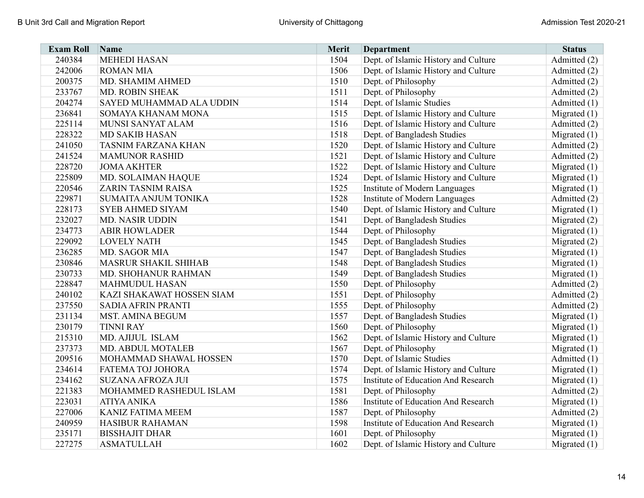| <b>Exam Roll</b> | Name                        | <b>Merit</b> | <b>Department</b>                          | <b>Status</b>  |
|------------------|-----------------------------|--------------|--------------------------------------------|----------------|
| 240384           | <b>MEHEDI HASAN</b>         | 1504         | Dept. of Islamic History and Culture       | Admitted (2)   |
| 242006           | <b>ROMAN MIA</b>            | 1506         | Dept. of Islamic History and Culture       | Admitted (2)   |
| 200375           | MD. SHAMIM AHMED            | 1510         | Dept. of Philosophy                        | Admitted (2)   |
| 233767           | MD. ROBIN SHEAK             | 1511         | Dept. of Philosophy                        | Admitted (2)   |
| 204274           | SAYED MUHAMMAD ALA UDDIN    | 1514         | Dept. of Islamic Studies                   | Admitted (1)   |
| 236841           | SOMAYA KHANAM MONA          | 1515         | Dept. of Islamic History and Culture       | Migrated $(1)$ |
| 225114           | MUNSI SANYAT ALAM           | 1516         | Dept. of Islamic History and Culture       | Admitted (2)   |
| 228322           | <b>MD SAKIB HASAN</b>       | 1518         | Dept. of Bangladesh Studies                | Migrated $(1)$ |
| 241050           | TASNIM FARZANA KHAN         | 1520         | Dept. of Islamic History and Culture       | Admitted (2)   |
| 241524           | <b>MAMUNOR RASHID</b>       | 1521         | Dept. of Islamic History and Culture       | Admitted (2)   |
| 228720           | <b>JOMA AKHTER</b>          | 1522         | Dept. of Islamic History and Culture       | Migrated $(1)$ |
| 225809           | MD. SOLAIMAN HAQUE          | 1524         | Dept. of Islamic History and Culture       | Migrated $(1)$ |
| 220546           | ZARIN TASNIM RAISA          | 1525         | Institute of Modern Languages              | Migrated $(1)$ |
| 229871           | SUMAITA ANJUM TONIKA        | 1528         | Institute of Modern Languages              | Admitted (2)   |
| 228173           | <b>SYEB AHMED SIYAM</b>     | 1540         | Dept. of Islamic History and Culture       | Migrated $(1)$ |
| 232027           | <b>MD. NASIR UDDIN</b>      | 1541         | Dept. of Bangladesh Studies                | Migrated $(2)$ |
| 234773           | <b>ABIR HOWLADER</b>        | 1544         | Dept. of Philosophy                        | Migrated $(1)$ |
| 229092           | <b>LOVELY NATH</b>          | 1545         | Dept. of Bangladesh Studies                | Migrated $(2)$ |
| 236285           | MD. SAGOR MIA               | 1547         | Dept. of Bangladesh Studies                | Migrated $(1)$ |
| 230846           | <b>MASRUR SHAKIL SHIHAB</b> | 1548         | Dept. of Bangladesh Studies                | Migrated $(1)$ |
| 230733           | MD. SHOHANUR RAHMAN         | 1549         | Dept. of Bangladesh Studies                | Migrated $(1)$ |
| 228847           | <b>MAHMUDUL HASAN</b>       | 1550         | Dept. of Philosophy                        | Admitted (2)   |
| 240102           | KAZI SHAKAWAT HOSSEN SIAM   | 1551         | Dept. of Philosophy                        | Admitted (2)   |
| 237550           | <b>SADIA AFRIN PRANTI</b>   | 1555         | Dept. of Philosophy                        | Admitted (2)   |
| 231134           | MST. AMINA BEGUM            | 1557         | Dept. of Bangladesh Studies                | Migrated $(1)$ |
| 230179           | <b>TINNI RAY</b>            | 1560         | Dept. of Philosophy                        | Migrated $(1)$ |
| 215310           | MD. AJIJUL ISLAM            | 1562         | Dept. of Islamic History and Culture       | Migrated $(1)$ |
| 237373           | MD. ABDUL MOTALEB           | 1567         | Dept. of Philosophy                        | Migrated $(1)$ |
| 209516           | MOHAMMAD SHAWAL HOSSEN      | 1570         | Dept. of Islamic Studies                   | Admitted (1)   |
| 234614           | FATEMA TOJ JOHORA           | 1574         | Dept. of Islamic History and Culture       | Migrated $(1)$ |
| 234162           | <b>SUZANA AFROZA JUI</b>    | 1575         | <b>Institute of Education And Research</b> | Migrated $(1)$ |
| 221383           | MOHAMMED RASHEDUL ISLAM     | 1581         | Dept. of Philosophy                        | Admitted (2)   |
| 223031           | <b>ATIYA ANIKA</b>          | 1586         | Institute of Education And Research        | Migrated $(1)$ |
| 227006           | <b>KANIZ FATIMA MEEM</b>    | 1587         | Dept. of Philosophy                        | Admitted (2)   |
| 240959           | <b>HASIBUR RAHAMAN</b>      | 1598         | <b>Institute of Education And Research</b> | Migrated $(1)$ |
| 235171           | <b>BISSHAJIT DHAR</b>       | 1601         | Dept. of Philosophy                        | Migrated $(1)$ |
| 227275           | <b>ASMATULLAH</b>           | 1602         | Dept. of Islamic History and Culture       | Migrated $(1)$ |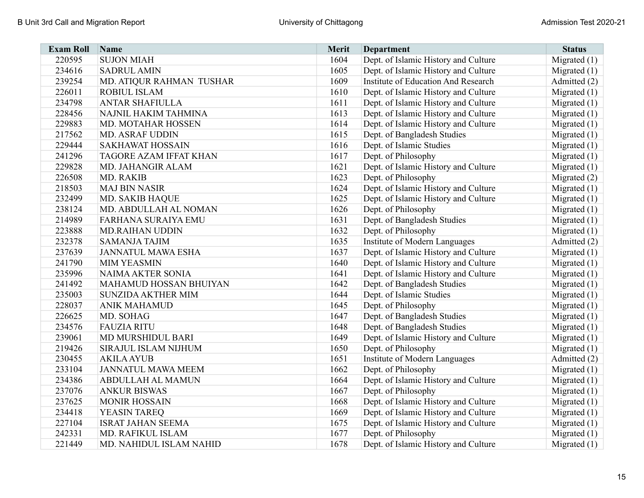| <b>Exam Roll</b> | <b>Name</b>                   | Merit | <b>Department</b>                    | <b>Status</b>  |
|------------------|-------------------------------|-------|--------------------------------------|----------------|
| 220595           | <b>SUJON MIAH</b>             | 1604  | Dept. of Islamic History and Culture | Migrated $(1)$ |
| 234616           | <b>SADRUL AMIN</b>            | 1605  | Dept. of Islamic History and Culture | Migrated $(1)$ |
| 239254           | MD. ATIQUR RAHMAN TUSHAR      | 1609  | Institute of Education And Research  | Admitted (2)   |
| 226011           | <b>ROBIUL ISLAM</b>           | 1610  | Dept. of Islamic History and Culture | Migrated $(1)$ |
| 234798           | <b>ANTAR SHAFIULLA</b>        | 1611  | Dept. of Islamic History and Culture | Migrated $(1)$ |
| 228456           | NAJNIL HAKIM TAHMINA          | 1613  | Dept. of Islamic History and Culture | Migrated $(1)$ |
| 229883           | MD. MOTAHAR HOSSEN            | 1614  | Dept. of Islamic History and Culture | Migrated $(1)$ |
| 217562           | <b>MD. ASRAF UDDIN</b>        | 1615  | Dept. of Bangladesh Studies          | Migrated $(1)$ |
| 229444           | <b>SAKHAWAT HOSSAIN</b>       | 1616  | Dept. of Islamic Studies             | Migrated $(1)$ |
| 241296           | <b>TAGORE AZAM IFFAT KHAN</b> | 1617  | Dept. of Philosophy                  | Migrated $(1)$ |
| 229828           | MD. JAHANGIR ALAM             | 1621  | Dept. of Islamic History and Culture | Migrated $(1)$ |
| 226508           | MD. RAKIB                     | 1623  | Dept. of Philosophy                  | Migrated $(2)$ |
| 218503           | <b>MAJ BIN NASIR</b>          | 1624  | Dept. of Islamic History and Culture | Migrated $(1)$ |
| 232499           | MD. SAKIB HAQUE               | 1625  | Dept. of Islamic History and Culture | Migrated $(1)$ |
| 238124           | MD. ABDULLAH AL NOMAN         | 1626  | Dept. of Philosophy                  | Migrated $(1)$ |
| 214989           | FARHANA SURAIYA EMU           | 1631  | Dept. of Bangladesh Studies          | Migrated $(1)$ |
| 223888           | <b>MD.RAIHAN UDDIN</b>        | 1632  | Dept. of Philosophy                  | Migrated $(1)$ |
| 232378           | <b>SAMANJA TAJIM</b>          | 1635  | Institute of Modern Languages        | Admitted (2)   |
| 237639           | <b>JANNATUL MAWA ESHA</b>     | 1637  | Dept. of Islamic History and Culture | Migrated $(1)$ |
| 241790           | <b>MIM YEASMIN</b>            | 1640  | Dept. of Islamic History and Culture | Migrated $(1)$ |
| 235996           | <b>NAIMA AKTER SONIA</b>      | 1641  | Dept. of Islamic History and Culture | Migrated $(1)$ |
| 241492           | MAHAMUD HOSSAN BHUIYAN        | 1642  | Dept. of Bangladesh Studies          | Migrated $(1)$ |
| 235003           | <b>SUNZIDA AKTHER MIM</b>     | 1644  | Dept. of Islamic Studies             | Migrated $(1)$ |
| 228037           | <b>ANIK MAHAMUD</b>           | 1645  | Dept. of Philosophy                  | Migrated $(1)$ |
| 226625           | MD. SOHAG                     | 1647  | Dept. of Bangladesh Studies          | Migrated $(1)$ |
| 234576           | <b>FAUZIA RITU</b>            | 1648  | Dept. of Bangladesh Studies          | Migrated $(1)$ |
| 239061           | MD MURSHIDUL BARI             | 1649  | Dept. of Islamic History and Culture | Migrated $(1)$ |
| 219426           | SIRAJUL ISLAM NIJHUM          | 1650  | Dept. of Philosophy                  | Migrated $(1)$ |
| 230455           | <b>AKILA AYUB</b>             | 1651  | <b>Institute of Modern Languages</b> | Admitted (2)   |
| 233104           | <b>JANNATUL MAWA MEEM</b>     | 1662  | Dept. of Philosophy                  | Migrated $(1)$ |
| 234386           | ABDULLAH AL MAMUN             | 1664  | Dept. of Islamic History and Culture | Migrated $(1)$ |
| 237076           | <b>ANKUR BISWAS</b>           | 1667  | Dept. of Philosophy                  | Migrated $(1)$ |
| 237625           | <b>MONIR HOSSAIN</b>          | 1668  | Dept. of Islamic History and Culture | Migrated $(1)$ |
| 234418           | YEASIN TAREQ                  | 1669  | Dept. of Islamic History and Culture | Migrated $(1)$ |
| 227104           | <b>ISRAT JAHAN SEEMA</b>      | 1675  | Dept. of Islamic History and Culture | Migrated $(1)$ |
| 242331           | MD. RAFIKUL ISLAM             | 1677  | Dept. of Philosophy                  | Migrated $(1)$ |
| 221449           | MD. NAHIDUL ISLAM NAHID       | 1678  | Dept. of Islamic History and Culture | Migrated $(1)$ |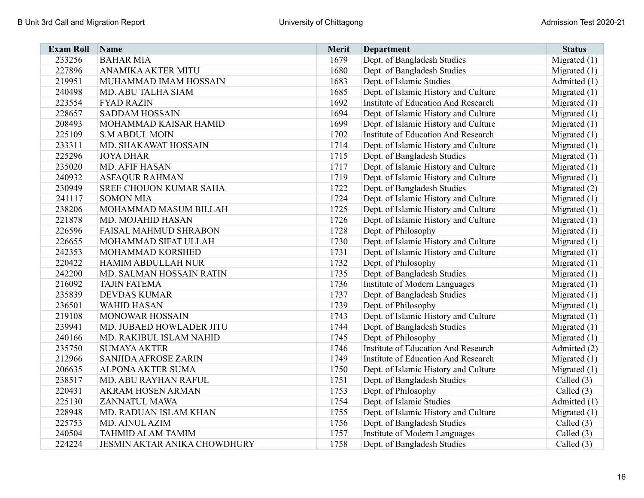| <b>Exam Roll</b> | Name                                | Merit | <b>Department</b>                          | <b>Status</b>  |
|------------------|-------------------------------------|-------|--------------------------------------------|----------------|
| 233256           | <b>BAHAR MIA</b>                    | 1679  | Dept. of Bangladesh Studies                | Migrated $(1)$ |
| 227896           | ANAMIKA AKTER MITU                  | 1680  | Dept. of Bangladesh Studies                | Migrated $(1)$ |
| 219951           | MUHAMMAD IMAM HOSSAIN               | 1683  | Dept. of Islamic Studies                   | Admitted $(1)$ |
| 240498           | MD. ABU TALHA SIAM                  | 1685  | Dept. of Islamic History and Culture       | Migrated $(1)$ |
| 223554           | <b>FYAD RAZIN</b>                   | 1692  | <b>Institute of Education And Research</b> | Migrated $(1)$ |
| 228657           | <b>SADDAM HOSSAIN</b>               | 1694  | Dept. of Islamic History and Culture       | Migrated $(1)$ |
| 208493           | MOHAMMAD KAISAR HAMID               | 1699  | Dept. of Islamic History and Culture       | Migrated $(1)$ |
| 225109           | <b>S.M ABDUL MOIN</b>               | 1702  | Institute of Education And Research        | Migrated $(1)$ |
| 233311           | MD. SHAKAWAT HOSSAIN                | 1714  | Dept. of Islamic History and Culture       | Migrated $(1)$ |
| 225296           | <b>JOYA DHAR</b>                    | 1715  | Dept. of Bangladesh Studies                | Migrated $(1)$ |
| 235020           | MD. AFIF HASAN                      | 1717  | Dept. of Islamic History and Culture       | Migrated $(1)$ |
| 240932           | <b>ASFAQUR RAHMAN</b>               | 1719  | Dept. of Islamic History and Culture       | Migrated $(1)$ |
| 230949           | SREE CHOUON KUMAR SAHA              | 1722  | Dept. of Bangladesh Studies                | Migrated $(2)$ |
| 241117           | <b>SOMON MIA</b>                    | 1724  | Dept. of Islamic History and Culture       | Migrated $(1)$ |
| 238206           | MOHAMMAD MASUM BILLAH               | 1725  | Dept. of Islamic History and Culture       | Migrated $(1)$ |
| 221878           | MD. MOJAHID HASAN                   | 1726  | Dept. of Islamic History and Culture       | Migrated $(1)$ |
| 226596           | FAISAL MAHMUD SHRABON               | 1728  | Dept. of Philosophy                        | Migrated $(1)$ |
| 226655           | MOHAMMAD SIFAT ULLAH                | 1730  | Dept. of Islamic History and Culture       | Migrated $(1)$ |
| 242353           | MOHAMMAD KORSHED                    | 1731  | Dept. of Islamic History and Culture       | Migrated $(1)$ |
| 220422           | HAMIM ABDULLAH NUR                  | 1732  | Dept. of Philosophy                        | Migrated $(1)$ |
| 242200           | MD. SALMAN HOSSAIN RATIN            | 1735  | Dept. of Bangladesh Studies                | Migrated $(1)$ |
| 216092           | <b>TAJIN FATEMA</b>                 | 1736  | <b>Institute of Modern Languages</b>       | Migrated $(1)$ |
| 235839           | <b>DEVDAS KUMAR</b>                 | 1737  | Dept. of Bangladesh Studies                | Migrated (1)   |
| 236501           | <b>WAHID HASAN</b>                  | 1739  | Dept. of Philosophy                        | Migrated $(1)$ |
| 219108           | MONOWAR HOSSAIN                     | 1743  | Dept. of Islamic History and Culture       | Migrated $(1)$ |
| 239941           | MD. JUBAED HOWLADER JITU            | 1744  | Dept. of Bangladesh Studies                | Migrated $(1)$ |
| 240166           | MD. RAKIBUL ISLAM NAHID             | 1745  | Dept. of Philosophy                        | Migrated $(1)$ |
| 235750           | <b>SUMAYA AKTER</b>                 | 1746  | <b>Institute of Education And Research</b> | Admitted (2)   |
| 212966           | <b>SANJIDA AFROSE ZARIN</b>         | 1749  | <b>Institute of Education And Research</b> | Migrated $(1)$ |
| 206635           | <b>ALPONA AKTER SUMA</b>            | 1750  | Dept. of Islamic History and Culture       | Migrated $(1)$ |
| 238517           | MD. ABU RAYHAN RAFUL                | 1751  | Dept. of Bangladesh Studies                | Called $(3)$   |
| 220431           | <b>AKRAM HOSEN ARMAN</b>            | 1753  | Dept. of Philosophy                        | Called (3)     |
| 225130           | ZANNATUL MAWA                       | 1754  | Dept. of Islamic Studies                   | Admitted (1)   |
| 228948           | MD. RADUAN ISLAM KHAN               | 1755  | Dept. of Islamic History and Culture       | Migrated $(1)$ |
| 225753           | MD. AINUL AZIM                      | 1756  | Dept. of Bangladesh Studies                | Called $(3)$   |
| 240504           | <b>TAHMID ALAM TAMIM</b>            | 1757  | Institute of Modern Languages              | Called $(3)$   |
| 224224           | <b>JESMIN AKTAR ANIKA CHOWDHURY</b> | 1758  | Dept. of Bangladesh Studies                | Called (3)     |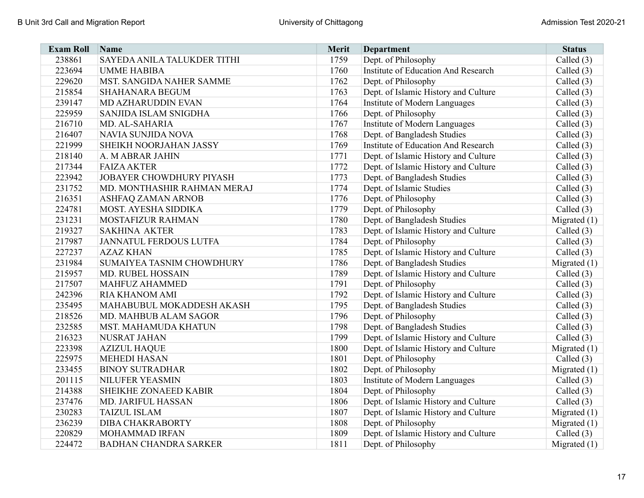| <b>Exam Roll</b> | Name                          | <b>Merit</b> | <b>Department</b>                    | <b>Status</b>  |
|------------------|-------------------------------|--------------|--------------------------------------|----------------|
| 238861           | SAYEDA ANILA TALUKDER TITHI   | 1759         | Dept. of Philosophy                  | Called (3)     |
| 223694           | <b>UMME HABIBA</b>            | 1760         | Institute of Education And Research  | Called $(3)$   |
| 229620           | MST. SANGIDA NAHER SAMME      | 1762         | Dept. of Philosophy                  | Called $(3)$   |
| 215854           | SHAHANARA BEGUM               | 1763         | Dept. of Islamic History and Culture | Called $(3)$   |
| 239147           | MD AZHARUDDIN EVAN            | 1764         | Institute of Modern Languages        | Called $(3)$   |
| 225959           | SANJIDA ISLAM SNIGDHA         | 1766         | Dept. of Philosophy                  | Called $(3)$   |
| 216710           | MD. AL-SAHARIA                | 1767         | Institute of Modern Languages        | Called $(3)$   |
| 216407           | NAVIA SUNJIDA NOVA            | 1768         | Dept. of Bangladesh Studies          | Called $(3)$   |
| 221999           | SHEIKH NOORJAHAN JASSY        | 1769         | Institute of Education And Research  | Called $(3)$   |
| 218140           | A. M ABRAR JAHIN              | 1771         | Dept. of Islamic History and Culture | Called $(3)$   |
| 217344           | <b>FAIZA AKTER</b>            | 1772         | Dept. of Islamic History and Culture | Called $(3)$   |
| 223942           | JOBAYER CHOWDHURY PIYASH      | 1773         | Dept. of Bangladesh Studies          | Called $(3)$   |
| 231752           | MD. MONTHASHIR RAHMAN MERAJ   | 1774         | Dept. of Islamic Studies             | Called $(3)$   |
| 216351           | ASHFAQ ZAMAN ARNOB            | 1776         | Dept. of Philosophy                  | Called $(3)$   |
| 224781           | MOST. AYESHA SIDDIKA          | 1779         | Dept. of Philosophy                  | Called $(3)$   |
| 231231           | MOSTAFIZUR RAHMAN             | 1780         | Dept. of Bangladesh Studies          | Migrated $(1)$ |
| 219327           | <b>SAKHINA AKTER</b>          | 1783         | Dept. of Islamic History and Culture | Called $(3)$   |
| 217987           | <b>JANNATUL FERDOUS LUTFA</b> | 1784         | Dept. of Philosophy                  | Called $(3)$   |
| 227237           | <b>AZAZ KHAN</b>              | 1785         | Dept. of Islamic History and Culture | Called (3)     |
| 231984           | SUMAIYEA TASNIM CHOWDHURY     | 1786         | Dept. of Bangladesh Studies          | Migrated $(1)$ |
| 215957           | <b>MD. RUBEL HOSSAIN</b>      | 1789         | Dept. of Islamic History and Culture | Called $(3)$   |
| 217507           | MAHFUZ AHAMMED                | 1791         | Dept. of Philosophy                  | Called $(3)$   |
| 242396           | <b>RIA KHANOM AMI</b>         | 1792         | Dept. of Islamic History and Culture | Called $(3)$   |
| 235495           | MAHABUBUL MOKADDESH AKASH     | 1795         | Dept. of Bangladesh Studies          | Called $(3)$   |
| 218526           | MD. MAHBUB ALAM SAGOR         | 1796         | Dept. of Philosophy                  | Called $(3)$   |
| 232585           | MST. MAHAMUDA KHATUN          | 1798         | Dept. of Bangladesh Studies          | Called $(3)$   |
| 216323           | NUSRAT JAHAN                  | 1799         | Dept. of Islamic History and Culture | Called $(3)$   |
| 223398           | <b>AZIZUL HAQUE</b>           | 1800         | Dept. of Islamic History and Culture | Migrated $(1)$ |
| 225975           | <b>MEHEDI HASAN</b>           | 1801         | Dept. of Philosophy                  | Called $(3)$   |
| 233455           | <b>BINOY SUTRADHAR</b>        | 1802         | Dept. of Philosophy                  | Migrated $(1)$ |
| 201115           | NILUFER YEASMIN               | 1803         | <b>Institute of Modern Languages</b> | Called $(3)$   |
| 214388           | SHEIKHE ZONAEED KABIR         | 1804         | Dept. of Philosophy                  | Called $(3)$   |
| 237476           | MD. JARIFUL HASSAN            | 1806         | Dept. of Islamic History and Culture | Called $(3)$   |
| 230283           | <b>TAIZUL ISLAM</b>           | 1807         | Dept. of Islamic History and Culture | Migrated $(1)$ |
| 236239           | <b>DIBA CHAKRABORTY</b>       | 1808         | Dept. of Philosophy                  | Migrated $(1)$ |
| 220829           | MOHAMMAD IRFAN                | 1809         | Dept. of Islamic History and Culture | Called $(3)$   |
| 224472           | <b>BADHAN CHANDRA SARKER</b>  | 1811         | Dept. of Philosophy                  | Migrated $(1)$ |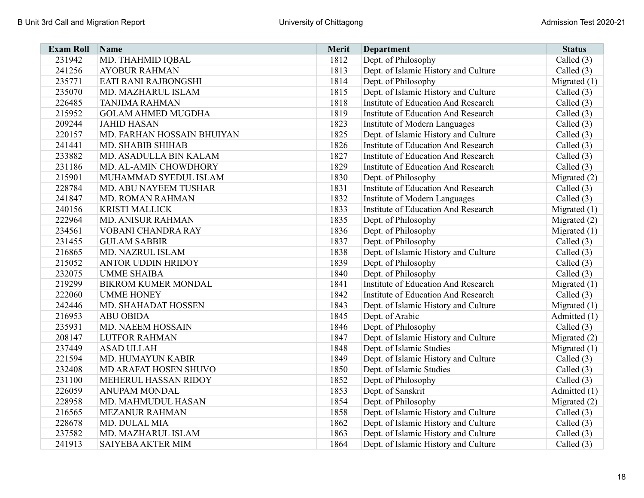| <b>Exam Roll</b> | Name                       | Merit | <b>Department</b>                          | <b>Status</b>  |
|------------------|----------------------------|-------|--------------------------------------------|----------------|
| 231942           | MD. THAHMID IQBAL          | 1812  | Dept. of Philosophy                        | Called (3)     |
| 241256           | <b>AYOBUR RAHMAN</b>       | 1813  | Dept. of Islamic History and Culture       | Called (3)     |
| 235771           | EATI RANI RAJBONGSHI       | 1814  | Dept. of Philosophy                        | Migrated $(1)$ |
| 235070           | MD. MAZHARUL ISLAM         | 1815  | Dept. of Islamic History and Culture       | Called $(3)$   |
| 226485           | <b>TANJIMA RAHMAN</b>      | 1818  | <b>Institute of Education And Research</b> | Called $(3)$   |
| 215952           | <b>GOLAM AHMED MUGDHA</b>  | 1819  | <b>Institute of Education And Research</b> | Called (3)     |
| 209244           | <b>JAHID HASAN</b>         | 1823  | Institute of Modern Languages              | Called $(3)$   |
| 220157           | MD. FARHAN HOSSAIN BHUIYAN | 1825  | Dept. of Islamic History and Culture       | Called $(3)$   |
| 241441           | MD. SHABIB SHIHAB          | 1826  | <b>Institute of Education And Research</b> | Called $(3)$   |
| 233882           | MD. ASADULLA BIN KALAM     | 1827  | Institute of Education And Research        | Called $(3)$   |
| 231186           | MD. AL-AMIN CHOWDHORY      | 1829  | Institute of Education And Research        | Called $(3)$   |
| 215901           | MUHAMMAD SYEDUL ISLAM      | 1830  | Dept. of Philosophy                        | Migrated $(2)$ |
| 228784           | MD. ABU NAYEEM TUSHAR      | 1831  | Institute of Education And Research        | Called $(3)$   |
| 241847           | MD. ROMAN RAHMAN           | 1832  | <b>Institute of Modern Languages</b>       | Called $(3)$   |
| 240156           | <b>KRISTI MALLICK</b>      | 1833  | Institute of Education And Research        | Migrated $(1)$ |
| 222964           | <b>MD. ANISUR RAHMAN</b>   | 1835  | Dept. of Philosophy                        | Migrated $(2)$ |
| 234561           | VOBANI CHANDRA RAY         | 1836  | Dept. of Philosophy                        | Migrated $(1)$ |
| 231455           | <b>GULAM SABBIR</b>        | 1837  | Dept. of Philosophy                        | Called $(3)$   |
| 216865           | MD. NAZRUL ISLAM           | 1838  | Dept. of Islamic History and Culture       | Called $(3)$   |
| 215052           | <b>ANTOR UDDIN HRIDOY</b>  | 1839  | Dept. of Philosophy                        | Called $(3)$   |
| 232075           | <b>UMME SHAIBA</b>         | 1840  | Dept. of Philosophy                        | Called $(3)$   |
| 219299           | <b>BIKROM KUMER MONDAL</b> | 1841  | <b>Institute of Education And Research</b> | Migrated $(1)$ |
| 222060           | <b>UMME HONEY</b>          | 1842  | Institute of Education And Research        | Called $(3)$   |
| 242446           | MD. SHAHADAT HOSSEN        | 1843  | Dept. of Islamic History and Culture       | Migrated $(1)$ |
| 216953           | <b>ABU OBIDA</b>           | 1845  | Dept. of Arabic                            | Admitted $(1)$ |
| 235931           | MD. NAEEM HOSSAIN          | 1846  | Dept. of Philosophy                        | Called $(3)$   |
| 208147           | <b>LUTFOR RAHMAN</b>       | 1847  | Dept. of Islamic History and Culture       | Migrated (2)   |
| 237449           | <b>ASAD ULLAH</b>          | 1848  | Dept. of Islamic Studies                   | Migrated $(1)$ |
| 221594           | MD. HUMAYUN KABIR          | 1849  | Dept. of Islamic History and Culture       | Called $(3)$   |
| 232408           | MD ARAFAT HOSEN SHUVO      | 1850  | Dept. of Islamic Studies                   | Called $(3)$   |
| 231100           | MEHERUL HASSAN RIDOY       | 1852  | Dept. of Philosophy                        | Called $(3)$   |
| 226059           | ANUPAM MONDAL              | 1853  | Dept. of Sanskrit                          | Admitted (1)   |
| 228958           | MD. MAHMUDUL HASAN         | 1854  | Dept. of Philosophy                        | Migrated $(2)$ |
| 216565           | <b>MEZANUR RAHMAN</b>      | 1858  | Dept. of Islamic History and Culture       | Called $(3)$   |
| 228678           | MD. DULAL MIA              | 1862  | Dept. of Islamic History and Culture       | Called $(3)$   |
| 237582           | MD. MAZHARUL ISLAM         | 1863  | Dept. of Islamic History and Culture       | Called $(3)$   |
| 241913           | <b>SAIYEBA AKTER MIM</b>   | 1864  | Dept. of Islamic History and Culture       | Called $(3)$   |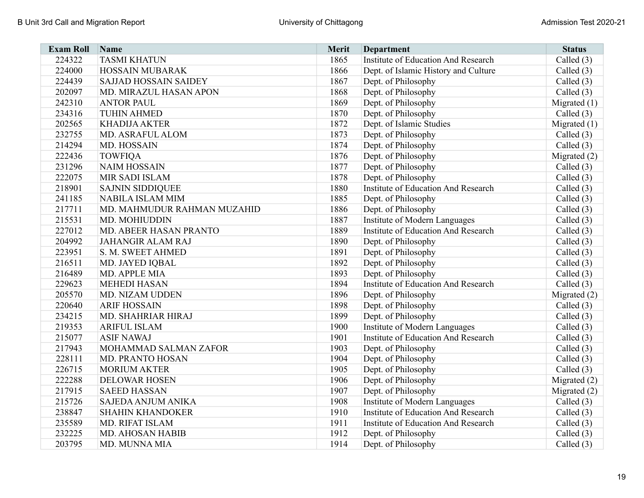| <b>Exam Roll</b> | Name                         | Merit | <b>Department</b>                          | <b>Status</b>  |
|------------------|------------------------------|-------|--------------------------------------------|----------------|
| 224322           | <b>TASMI KHATUN</b>          | 1865  | Institute of Education And Research        | Called (3)     |
| 224000           | HOSSAIN MUBARAK              | 1866  | Dept. of Islamic History and Culture       | Called (3)     |
| 224439           | <b>SAJJAD HOSSAIN SAIDEY</b> | 1867  | Dept. of Philosophy                        | Called (3)     |
| 202097           | MD. MIRAZUL HASAN APON       | 1868  | Dept. of Philosophy                        | Called $(3)$   |
| 242310           | <b>ANTOR PAUL</b>            | 1869  | Dept. of Philosophy                        | Migrated $(1)$ |
| 234316           | <b>TUHIN AHMED</b>           | 1870  | Dept. of Philosophy                        | Called $(3)$   |
| 202565           | <b>KHADIJA AKTER</b>         | 1872  | Dept. of Islamic Studies                   | Migrated $(1)$ |
| 232755           | MD. ASRAFUL ALOM             | 1873  | Dept. of Philosophy                        | Called $(3)$   |
| 214294           | MD. HOSSAIN                  | 1874  | Dept. of Philosophy                        | Called $(3)$   |
| 222436           | <b>TOWFIQA</b>               | 1876  | Dept. of Philosophy                        | Migrated (2)   |
| 231296           | <b>NAIM HOSSAIN</b>          | 1877  | Dept. of Philosophy                        | Called $(3)$   |
| 222075           | MIR SADI ISLAM               | 1878  | Dept. of Philosophy                        | Called $(3)$   |
| 218901           | <b>SAJNIN SIDDIQUEE</b>      | 1880  | Institute of Education And Research        | Called $(3)$   |
| 241185           | NABILA ISLAM MIM             | 1885  | Dept. of Philosophy                        | Called $(3)$   |
| 217711           | MD. MAHMUDUR RAHMAN MUZAHID  | 1886  | Dept. of Philosophy                        | Called $(3)$   |
| 215531           | MD. MOHIUDDIN                | 1887  | <b>Institute of Modern Languages</b>       | Called $(3)$   |
| 227012           | MD. ABEER HASAN PRANTO       | 1889  | Institute of Education And Research        | Called (3)     |
| 204992           | <b>JAHANGIR ALAM RAJ</b>     | 1890  | Dept. of Philosophy                        | Called (3)     |
| 223951           | S. M. SWEET AHMED            | 1891  | Dept. of Philosophy                        | Called (3)     |
| 216511           | MD. JAYED IQBAL              | 1892  | Dept. of Philosophy                        | Called $(3)$   |
| 216489           | MD. APPLE MIA                | 1893  | Dept. of Philosophy                        | Called $(3)$   |
| 229623           | <b>MEHEDI HASAN</b>          | 1894  | Institute of Education And Research        | Called $(3)$   |
| 205570           | MD. NIZAM UDDEN              | 1896  | Dept. of Philosophy                        | Migrated $(2)$ |
| 220640           | <b>ARIF HOSSAIN</b>          | 1898  | Dept. of Philosophy                        | Called $(3)$   |
| 234215           | MD. SHAHRIAR HIRAJ           | 1899  | Dept. of Philosophy                        | Called $(3)$   |
| 219353           | <b>ARIFUL ISLAM</b>          | 1900  | <b>Institute of Modern Languages</b>       | Called (3)     |
| 215077           | <b>ASIF NAWAJ</b>            | 1901  | Institute of Education And Research        | Called (3)     |
| 217943           | MOHAMMAD SALMAN ZAFOR        | 1903  | Dept. of Philosophy                        | Called (3)     |
| 228111           | MD. PRANTO HOSAN             | 1904  | Dept. of Philosophy                        | Called (3)     |
| 226715           | <b>MORIUM AKTER</b>          | 1905  | Dept. of Philosophy                        | Called $(3)$   |
| 222288           | <b>DELOWAR HOSEN</b>         | 1906  | Dept. of Philosophy                        | Migrated $(2)$ |
| 217915           | <b>SAEED HASSAN</b>          | 1907  | Dept. of Philosophy                        | Migrated $(2)$ |
| 215726           | SAJEDA ANJUM ANIKA           | 1908  | <b>Institute of Modern Languages</b>       | Called (3)     |
| 238847           | <b>SHAHIN KHANDOKER</b>      | 1910  | <b>Institute of Education And Research</b> | Called (3)     |
| 235589           | MD. RIFAT ISLAM              | 1911  | <b>Institute of Education And Research</b> | Called $(3)$   |
| 232225           | MD. AHOSAN HABIB             | 1912  | Dept. of Philosophy                        | Called $(3)$   |
| 203795           | MD. MUNNA MIA                | 1914  | Dept. of Philosophy                        | Called $(3)$   |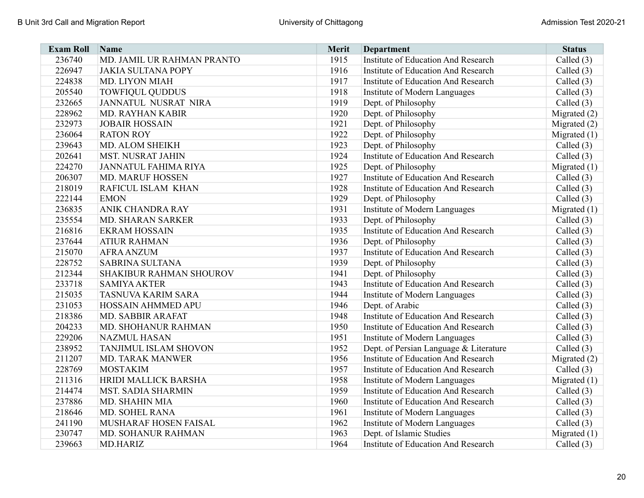| <b>Exam Roll</b> | Name                           | Merit | <b>Department</b>                          | <b>Status</b>  |
|------------------|--------------------------------|-------|--------------------------------------------|----------------|
| 236740           | MD. JAMIL UR RAHMAN PRANTO     | 1915  | Institute of Education And Research        | Called (3)     |
| 226947           | <b>JAKIA SULTANA POPY</b>      | 1916  | Institute of Education And Research        | Called $(3)$   |
| 224838           | <b>MD. LIYON MIAH</b>          | 1917  | <b>Institute of Education And Research</b> | Called $(3)$   |
| 205540           | <b>TOWFIQUL QUDDUS</b>         | 1918  | <b>Institute of Modern Languages</b>       | Called (3)     |
| 232665           | JANNATUL NUSRAT NIRA           | 1919  | Dept. of Philosophy                        | Called $(3)$   |
| 228962           | MD. RAYHAN KABIR               | 1920  | Dept. of Philosophy                        | Migrated (2)   |
| 232973           | <b>JOBAIR HOSSAIN</b>          | 1921  | Dept. of Philosophy                        | Migrated $(2)$ |
| 236064           | <b>RATON ROY</b>               | 1922  | Dept. of Philosophy                        | Migrated $(1)$ |
| 239643           | MD. ALOM SHEIKH                | 1923  | Dept. of Philosophy                        | Called $(3)$   |
| 202641           | <b>MST. NUSRAT JAHIN</b>       | 1924  | Institute of Education And Research        | Called $(3)$   |
| 224270           | <b>JANNATUL FAHIMA RIYA</b>    | 1925  | Dept. of Philosophy                        | Migrated $(1)$ |
| 206307           | <b>MD. MARUF HOSSEN</b>        | 1927  | <b>Institute of Education And Research</b> | Called $(3)$   |
| 218019           | RAFICUL ISLAM KHAN             | 1928  | <b>Institute of Education And Research</b> | Called $(3)$   |
| 222144           | <b>EMON</b>                    | 1929  | Dept. of Philosophy                        | Called $(3)$   |
| 236835           | <b>ANIK CHANDRA RAY</b>        | 1931  | Institute of Modern Languages              | Migrated $(1)$ |
| 235554           | <b>MD. SHARAN SARKER</b>       | 1933  | Dept. of Philosophy                        | Called $(3)$   |
| 216816           | <b>EKRAM HOSSAIN</b>           | 1935  | Institute of Education And Research        | Called $(3)$   |
| 237644           | <b>ATIUR RAHMAN</b>            | 1936  | Dept. of Philosophy                        | Called $(3)$   |
| 215070           | <b>AFRA ANZUM</b>              | 1937  | Institute of Education And Research        | Called (3)     |
| 228752           | <b>SABRINA SULTANA</b>         | 1939  | Dept. of Philosophy                        | Called $(3)$   |
| 212344           | <b>SHAKIBUR RAHMAN SHOUROV</b> | 1941  | Dept. of Philosophy                        | Called (3)     |
| 233718           | <b>SAMIYA AKTER</b>            | 1943  | <b>Institute of Education And Research</b> | Called $(3)$   |
| 215035           | TASNUVA KARIM SARA             | 1944  | Institute of Modern Languages              | Called (3)     |
| 231053           | HOSSAIN AHMMED APU             | 1946  | Dept. of Arabic                            | Called $(3)$   |
| 218386           | MD. SABBIR ARAFAT              | 1948  | <b>Institute of Education And Research</b> | Called (3)     |
| 204233           | MD. SHOHANUR RAHMAN            | 1950  | Institute of Education And Research        | Called (3)     |
| 229206           | <b>NAZMUL HASAN</b>            | 1951  | Institute of Modern Languages              | Called $(3)$   |
| 238952           | TANJIMUL ISLAM SHOVON          | 1952  | Dept. of Persian Language & Literature     | Called $(3)$   |
| 211207           | <b>MD. TARAK MANWER</b>        | 1956  | <b>Institute of Education And Research</b> | Migrated $(2)$ |
| 228769           | <b>MOSTAKIM</b>                | 1957  | <b>Institute of Education And Research</b> | Called $(3)$   |
| 211316           | HRIDI MALLICK BARSHA           | 1958  | <b>Institute of Modern Languages</b>       | Migrated $(1)$ |
| 214474           | <b>MST. SADIA SHARMIN</b>      | 1959  | <b>Institute of Education And Research</b> | Called $(3)$   |
| 237886           | MD. SHAHIN MIA                 | 1960  | Institute of Education And Research        | Called $(3)$   |
| 218646           | MD. SOHEL RANA                 | 1961  | Institute of Modern Languages              | Called $(3)$   |
| 241190           | MUSHARAF HOSEN FAISAL          | 1962  | Institute of Modern Languages              | Called $(3)$   |
| 230747           | MD. SOHANUR RAHMAN             | 1963  | Dept. of Islamic Studies                   | Migrated $(1)$ |
| 239663           | <b>MD.HARIZ</b>                | 1964  | Institute of Education And Research        | Called $(3)$   |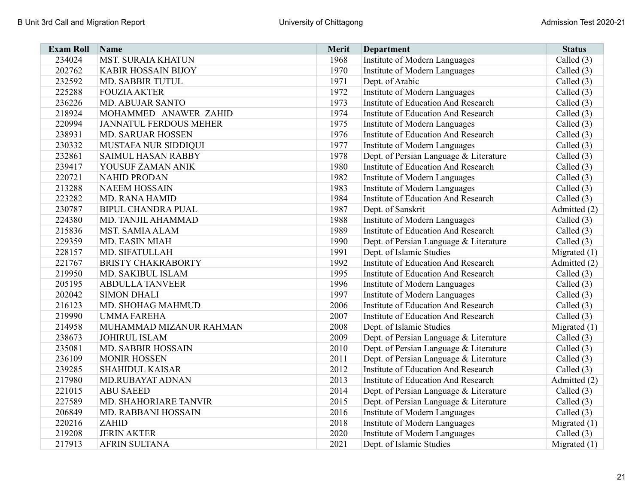| <b>Exam Roll</b> | Name                          | Merit | <b>Department</b>                          | <b>Status</b>  |
|------------------|-------------------------------|-------|--------------------------------------------|----------------|
| 234024           | <b>MST. SURAIA KHATUN</b>     | 1968  | Institute of Modern Languages              | Called (3)     |
| 202762           | KABIR HOSSAIN BIJOY           | 1970  | Institute of Modern Languages              | Called (3)     |
| 232592           | MD. SABBIR TUTUL              | 1971  | Dept. of Arabic                            | Called (3)     |
| 225288           | <b>FOUZIA AKTER</b>           | 1972  | Institute of Modern Languages              | Called $(3)$   |
| 236226           | <b>MD. ABUJAR SANTO</b>       | 1973  | <b>Institute of Education And Research</b> | Called $(3)$   |
| 218924           | MOHAMMED ANAWER ZAHID         | 1974  | <b>Institute of Education And Research</b> | Called $(3)$   |
| 220994           | <b>JANNATUL FERDOUS MEHER</b> | 1975  | Institute of Modern Languages              | Called (3)     |
| 238931           | MD. SARUAR HOSSEN             | 1976  | Institute of Education And Research        | Called $(3)$   |
| 230332           | MUSTAFA NUR SIDDIQUI          | 1977  | <b>Institute of Modern Languages</b>       | Called (3)     |
| 232861           | SAIMUL HASAN RABBY            | 1978  | Dept. of Persian Language & Literature     | Called $(3)$   |
| 239417           | YOUSUF ZAMAN ANIK             | 1980  | Institute of Education And Research        | Called $(3)$   |
| 220721           | <b>NAHID PRODAN</b>           | 1982  | Institute of Modern Languages              | Called (3)     |
| 213288           | <b>NAEEM HOSSAIN</b>          | 1983  | <b>Institute of Modern Languages</b>       | Called $(3)$   |
| 223282           | MD. RANA HAMID                | 1984  | Institute of Education And Research        | Called $(3)$   |
| 230787           | <b>BIPUL CHANDRA PUAL</b>     | 1987  | Dept. of Sanskrit                          | Admitted (2)   |
| 224380           | MD. TANJIL AHAMMAD            | 1988  | Institute of Modern Languages              | Called $(3)$   |
| 215836           | <b>MST. SAMIA ALAM</b>        | 1989  | <b>Institute of Education And Research</b> | Called $(3)$   |
| 229359           | MD. EASIN MIAH                | 1990  | Dept. of Persian Language & Literature     | Called $(3)$   |
| 228157           | MD. SIFATULLAH                | 1991  | Dept. of Islamic Studies                   | Migrated $(1)$ |
| 221767           | <b>BRISTY CHAKRABORTY</b>     | 1992  | <b>Institute of Education And Research</b> | Admitted (2)   |
| 219950           | MD. SAKIBUL ISLAM             | 1995  | <b>Institute of Education And Research</b> | Called $(3)$   |
| 205195           | <b>ABDULLA TANVEER</b>        | 1996  | Institute of Modern Languages              | Called (3)     |
| 202042           | <b>SIMON DHALI</b>            | 1997  | <b>Institute of Modern Languages</b>       | Called $(3)$   |
| 216123           | MD. SHOHAG MAHMUD             | 2006  | <b>Institute of Education And Research</b> | Called $(3)$   |
| 219990           | <b>UMMA FAREHA</b>            | 2007  | <b>Institute of Education And Research</b> | Called $(3)$   |
| 214958           | MUHAMMAD MIZANUR RAHMAN       | 2008  | Dept. of Islamic Studies                   | Migrated $(1)$ |
| 238673           | <b>JOHIRUL ISLAM</b>          | 2009  | Dept. of Persian Language & Literature     | Called $(3)$   |
| 235081           | MD. SABBIR HOSSAIN            | 2010  | Dept. of Persian Language & Literature     | Called (3)     |
| 236109           | <b>MONIR HOSSEN</b>           | 2011  | Dept. of Persian Language & Literature     | Called (3)     |
| 239285           | <b>SHAHIDUL KAISAR</b>        | 2012  | <b>Institute of Education And Research</b> | Called $(3)$   |
| 217980           | <b>MD.RUBAYAT ADNAN</b>       | 2013  | Institute of Education And Research        | Admitted (2)   |
| 221015           | <b>ABU SAEED</b>              | 2014  | Dept. of Persian Language & Literature     | Called $(3)$   |
| 227589           | MD. SHAHORIARE TANVIR         | 2015  | Dept. of Persian Language & Literature     | Called $(3)$   |
| 206849           | MD. RABBANI HOSSAIN           | 2016  | Institute of Modern Languages              | Called $(3)$   |
| 220216           | <b>ZAHID</b>                  | 2018  | Institute of Modern Languages              | Migrated $(1)$ |
| 219208           | <b>JERIN AKTER</b>            | 2020  | Institute of Modern Languages              | Called $(3)$   |
| 217913           | <b>AFRIN SULTANA</b>          | 2021  | Dept. of Islamic Studies                   | Migrated $(1)$ |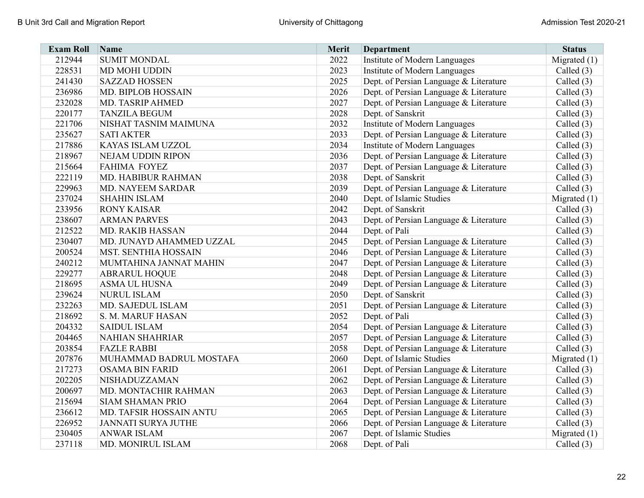| <b>Exam Roll</b> | <b>Name</b>                | <b>Merit</b> | <b>Department</b>                      | <b>Status</b>  |
|------------------|----------------------------|--------------|----------------------------------------|----------------|
| 212944           | <b>SUMIT MONDAL</b>        | 2022         | Institute of Modern Languages          | Migrated $(1)$ |
| 228531           | <b>MD MOHI UDDIN</b>       | 2023         | Institute of Modern Languages          | Called $(3)$   |
| 241430           | <b>SAZZAD HOSSEN</b>       | 2025         | Dept. of Persian Language & Literature | Called (3)     |
| 236986           | MD. BIPLOB HOSSAIN         | 2026         | Dept. of Persian Language & Literature | Called (3)     |
| 232028           | MD. TASRIP AHMED           | 2027         | Dept. of Persian Language & Literature | Called $(3)$   |
| 220177           | <b>TANZILA BEGUM</b>       | 2028         | Dept. of Sanskrit                      | Called $(3)$   |
| 221706           | NISHAT TASNIM MAIMUNA      | 2032         | Institute of Modern Languages          | Called $(3)$   |
| 235627           | <b>SATI AKTER</b>          | 2033         | Dept. of Persian Language & Literature | Called $(3)$   |
| 217886           | KAYAS ISLAM UZZOL          | 2034         | Institute of Modern Languages          | Called $(3)$   |
| 218967           | NEJAM UDDIN RIPON          | 2036         | Dept. of Persian Language & Literature | Called $(3)$   |
| 215664           | FAHIMA FOYEZ               | 2037         | Dept. of Persian Language & Literature | Called $(3)$   |
| 222119           | MD. HABIBUR RAHMAN         | 2038         | Dept. of Sanskrit                      | Called $(3)$   |
| 229963           | MD. NAYEEM SARDAR          | 2039         | Dept. of Persian Language & Literature | Called $(3)$   |
| 237024           | <b>SHAHIN ISLAM</b>        | 2040         | Dept. of Islamic Studies               | Migrated $(1)$ |
| 233956           | <b>RONY KAISAR</b>         | 2042         | Dept. of Sanskrit                      | Called $(3)$   |
| 238607           | <b>ARMAN PARVES</b>        | 2043         | Dept. of Persian Language & Literature | Called $(3)$   |
| 212522           | MD. RAKIB HASSAN           | 2044         | Dept. of Pali                          | Called $(3)$   |
| 230407           | MD. JUNAYD AHAMMED UZZAL   | 2045         | Dept. of Persian Language & Literature | Called $(3)$   |
| 200524           | MST. SENTHIA HOSSAIN       | 2046         | Dept. of Persian Language & Literature | Called (3)     |
| 240212           | MUMTAHINA JANNAT MAHIN     | 2047         | Dept. of Persian Language & Literature | Called (3)     |
| 229277           | <b>ABRARUL HOQUE</b>       | 2048         | Dept. of Persian Language & Literature | Called (3)     |
| 218695           | <b>ASMA UL HUSNA</b>       | 2049         | Dept. of Persian Language & Literature | Called $(3)$   |
| 239624           | <b>NURUL ISLAM</b>         | 2050         | Dept. of Sanskrit                      | Called (3)     |
| 232263           | MD. SAJEDUL ISLAM          | 2051         | Dept. of Persian Language & Literature | Called (3)     |
| 218692           | S. M. MARUF HASAN          | 2052         | Dept. of Pali                          | Called (3)     |
| 204332           | <b>SAIDUL ISLAM</b>        | 2054         | Dept. of Persian Language & Literature | Called (3)     |
| 204465           | <b>NAHIAN SHAHRIAR</b>     | 2057         | Dept. of Persian Language & Literature | Called (3)     |
| 203854           | <b>FAZLE RABBI</b>         | 2058         | Dept. of Persian Language & Literature | Called (3)     |
| 207876           | MUHAMMAD BADRUL MOSTAFA    | 2060         | Dept. of Islamic Studies               | Migrated $(1)$ |
| 217273           | <b>OSAMA BIN FARID</b>     | 2061         | Dept. of Persian Language & Literature | Called $(3)$   |
| 202205           | NISHADUZZAMAN              | 2062         | Dept. of Persian Language & Literature | Called $(3)$   |
| 200697           | MD. MONTACHIR RAHMAN       | 2063         | Dept. of Persian Language & Literature | Called $(3)$   |
| 215694           | <b>SIAM SHAMAN PRIO</b>    | 2064         | Dept. of Persian Language & Literature | Called $(3)$   |
| 236612           | MD. TAFSIR HOSSAIN ANTU    | 2065         | Dept. of Persian Language & Literature | Called $(3)$   |
| 226952           | <b>JANNATI SURYA JUTHE</b> | 2066         | Dept. of Persian Language & Literature | Called $(3)$   |
| 230405           | <b>ANWAR ISLAM</b>         | 2067         | Dept. of Islamic Studies               | Migrated $(1)$ |
| 237118           | MD. MONIRUL ISLAM          | 2068         | Dept. of Pali                          | Called $(3)$   |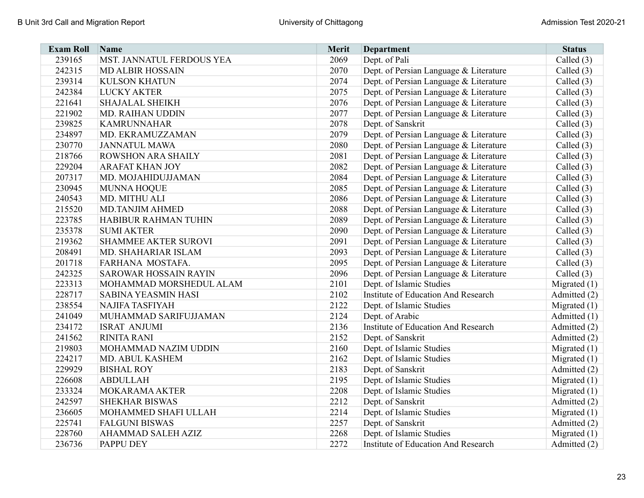| <b>Exam Roll</b> | Name                         | <b>Merit</b> | <b>Department</b>                          | <b>Status</b>  |
|------------------|------------------------------|--------------|--------------------------------------------|----------------|
| 239165           | MST. JANNATUL FERDOUS YEA    | 2069         | Dept. of Pali                              | Called (3)     |
| 242315           | <b>MD ALBIR HOSSAIN</b>      | 2070         | Dept. of Persian Language & Literature     | Called $(3)$   |
| 239314           | <b>KULSON KHATUN</b>         | 2074         | Dept. of Persian Language & Literature     | Called (3)     |
| 242384           | <b>LUCKY AKTER</b>           | 2075         | Dept. of Persian Language & Literature     | Called (3)     |
| 221641           | <b>SHAJALAL SHEIKH</b>       | 2076         | Dept. of Persian Language & Literature     | Called $(3)$   |
| 221902           | MD. RAIHAN UDDIN             | 2077         | Dept. of Persian Language & Literature     | Called $(3)$   |
| 239825           | <b>KAMRUNNAHAR</b>           | 2078         | Dept. of Sanskrit                          | Called $(3)$   |
| 234897           | MD. EKRAMUZZAMAN             | 2079         | Dept. of Persian Language & Literature     | Called $(3)$   |
| 230770           | <b>JANNATUL MAWA</b>         | 2080         | Dept. of Persian Language & Literature     | Called $(3)$   |
| 218766           | ROWSHON ARA SHAILY           | 2081         | Dept. of Persian Language & Literature     | Called $(3)$   |
| 229204           | <b>ARAFAT KHAN JOY</b>       | 2082         | Dept. of Persian Language & Literature     | Called $(3)$   |
| 207317           | MD. MOJAHIDUJJAMAN           | 2084         | Dept. of Persian Language & Literature     | Called $(3)$   |
| 230945           | <b>MUNNA HOQUE</b>           | 2085         | Dept. of Persian Language & Literature     | Called $(3)$   |
| 240543           | MD. MITHU ALI                | 2086         | Dept. of Persian Language & Literature     | Called $(3)$   |
| 215520           | <b>MD.TANJIM AHMED</b>       | 2088         | Dept. of Persian Language & Literature     | Called (3)     |
| 223785           | HABIBUR RAHMAN TUHIN         | 2089         | Dept. of Persian Language & Literature     | Called $(3)$   |
| 235378           | <b>SUMI AKTER</b>            | 2090         | Dept. of Persian Language & Literature     | Called $(3)$   |
| 219362           | <b>SHAMMEE AKTER SUROVI</b>  | 2091         | Dept. of Persian Language & Literature     | Called $(3)$   |
| 208491           | MD. SHAHARIAR ISLAM          | 2093         | Dept. of Persian Language & Literature     | Called $(3)$   |
| 201718           | FARHANA MOSTAFA.             | 2095         | Dept. of Persian Language & Literature     | Called $(3)$   |
| 242325           | <b>SAROWAR HOSSAIN RAYIN</b> | 2096         | Dept. of Persian Language & Literature     | Called $(3)$   |
| 223313           | MOHAMMAD MORSHEDUL ALAM      | 2101         | Dept. of Islamic Studies                   | Migrated $(1)$ |
| 228717           | <b>SABINA YEASMIN HASI</b>   | 2102         | <b>Institute of Education And Research</b> | Admitted (2)   |
| 238554           | <b>NAJIFA TASFIYAH</b>       | 2122         | Dept. of Islamic Studies                   | Migrated $(1)$ |
| 241049           | MUHAMMAD SARIFUJJAMAN        | 2124         | Dept. of Arabic                            | Admitted (1)   |
| 234172           | <b>ISRAT ANJUMI</b>          | 2136         | <b>Institute of Education And Research</b> | Admitted $(2)$ |
| 241562           | <b>RINITA RANI</b>           | 2152         | Dept. of Sanskrit                          | Admitted (2)   |
| 219803           | MOHAMMAD NAZIM UDDIN         | 2160         | Dept. of Islamic Studies                   | Migrated $(1)$ |
| 224217           | MD. ABUL KASHEM              | 2162         | Dept. of Islamic Studies                   | Migrated $(1)$ |
| 229929           | <b>BISHAL ROY</b>            | 2183         | Dept. of Sanskrit                          | Admitted (2)   |
| 226608           | <b>ABDULLAH</b>              | 2195         | Dept. of Islamic Studies                   | Migrated $(1)$ |
| 233324           | <b>MOKARAMA AKTER</b>        | 2208         | Dept. of Islamic Studies                   | Migrated $(1)$ |
| 242597           | <b>SHEKHAR BISWAS</b>        | 2212         | Dept. of Sanskrit                          | Admitted (2)   |
| 236605           | MOHAMMED SHAFI ULLAH         | 2214         | Dept. of Islamic Studies                   | Migrated $(1)$ |
| 225741           | <b>FALGUNI BISWAS</b>        | 2257         | Dept. of Sanskrit                          | Admitted (2)   |
| 228760           | AHAMMAD SALEH AZIZ           | 2268         | Dept. of Islamic Studies                   | Migrated $(1)$ |
| 236736           | <b>PAPPU DEY</b>             | 2272         | <b>Institute of Education And Research</b> | Admitted (2)   |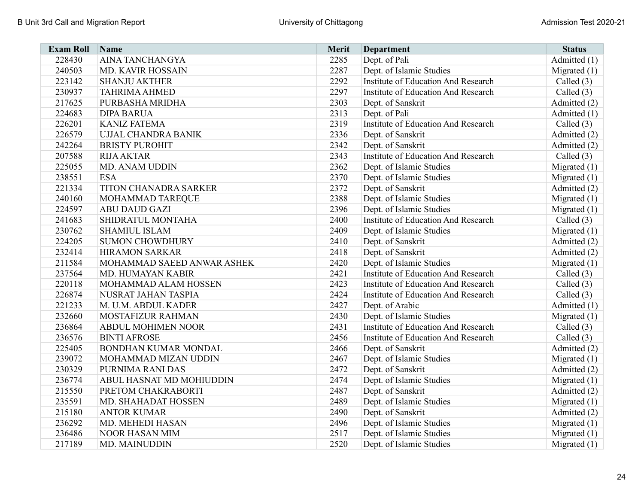| <b>Exam Roll</b> | Name                        | Merit | <b>Department</b>                          | <b>Status</b>  |
|------------------|-----------------------------|-------|--------------------------------------------|----------------|
| 228430           | <b>AINA TANCHANGYA</b>      | 2285  | Dept. of Pali                              | Admitted (1)   |
| 240503           | MD. KAVIR HOSSAIN           | 2287  | Dept. of Islamic Studies                   | Migrated $(1)$ |
| 223142           | <b>SHANJU AKTHER</b>        | 2292  | <b>Institute of Education And Research</b> | Called $(3)$   |
| 230937           | <b>TAHRIMA AHMED</b>        | 2297  | <b>Institute of Education And Research</b> | Called $(3)$   |
| 217625           | PURBASHA MRIDHA             | 2303  | Dept. of Sanskrit                          | Admitted $(2)$ |
| 224683           | <b>DIPA BARUA</b>           | 2313  | Dept. of Pali                              | Admitted (1)   |
| 226201           | <b>KANIZ FATEMA</b>         | 2319  | Institute of Education And Research        | Called $(3)$   |
| 226579           | UJJAL CHANDRA BANIK         | 2336  | Dept. of Sanskrit                          | Admitted $(2)$ |
| 242264           | <b>BRISTY PUROHIT</b>       | 2342  | Dept. of Sanskrit                          | Admitted (2)   |
| 207588           | <b>RIJA AKTAR</b>           | 2343  | Institute of Education And Research        | Called $(3)$   |
| 225055           | <b>MD. ANAM UDDIN</b>       | 2362  | Dept. of Islamic Studies                   | Migrated $(1)$ |
| 238551           | <b>ESA</b>                  | 2370  | Dept. of Islamic Studies                   | Migrated $(1)$ |
| 221334           | TITON CHANADRA SARKER       | 2372  | Dept. of Sanskrit                          | Admitted (2)   |
| 240160           | MOHAMMAD TAREQUE            | 2388  | Dept. of Islamic Studies                   | Migrated $(1)$ |
| 224597           | <b>ABU DAUD GAZI</b>        | 2396  | Dept. of Islamic Studies                   | Migrated $(1)$ |
| 241683           | SHIDRATUL MONTAHA           | 2400  | Institute of Education And Research        | Called $(3)$   |
| 230762           | <b>SHAMIUL ISLAM</b>        | 2409  | Dept. of Islamic Studies                   | Migrated $(1)$ |
| 224205           | <b>SUMON CHOWDHURY</b>      | 2410  | Dept. of Sanskrit                          | Admitted $(2)$ |
| 232414           | <b>HIRAMON SARKAR</b>       | 2418  | Dept. of Sanskrit                          | Admitted $(2)$ |
| 211584           | MOHAMMAD SAEED ANWAR ASHEK  | 2420  | Dept. of Islamic Studies                   | Migrated $(1)$ |
| 237564           | MD. HUMAYAN KABIR           | 2421  | Institute of Education And Research        | Called $(3)$   |
| 220118           | MOHAMMAD ALAM HOSSEN        | 2423  | <b>Institute of Education And Research</b> | Called $(3)$   |
| 226874           | NUSRAT JAHAN TASPIA         | 2424  | Institute of Education And Research        | Called $(3)$   |
| 221233           | M. U.M. ABDUL KADER         | 2427  | Dept. of Arabic                            | Admitted (1)   |
| 232660           | MOSTAFIZUR RAHMAN           | 2430  | Dept. of Islamic Studies                   | Migrated $(1)$ |
| 236864           | <b>ABDUL MOHIMEN NOOR</b>   | 2431  | Institute of Education And Research        | Called $(3)$   |
| 236576           | <b>BINTI AFROSE</b>         | 2456  | Institute of Education And Research        | Called $(3)$   |
| 225405           | <b>BONDHAN KUMAR MONDAL</b> | 2466  | Dept. of Sanskrit                          | Admitted (2)   |
| 239072           | MOHAMMAD MIZAN UDDIN        | 2467  | Dept. of Islamic Studies                   | Migrated $(1)$ |
| 230329           | PURNIMA RANI DAS            | 2472  | Dept. of Sanskrit                          | Admitted (2)   |
| 236774           | ABUL HASNAT MD MOHIUDDIN    | 2474  | Dept. of Islamic Studies                   | Migrated $(1)$ |
| 215550           | PRETOM CHAKRABORTI          | 2487  | Dept. of Sanskrit                          | Admitted (2)   |
| 235591           | MD. SHAHADAT HOSSEN         | 2489  | Dept. of Islamic Studies                   | Migrated $(1)$ |
| 215180           | <b>ANTOR KUMAR</b>          | 2490  | Dept. of Sanskrit                          | Admitted (2)   |
| 236292           | MD. MEHEDI HASAN            | 2496  | Dept. of Islamic Studies                   | Migrated $(1)$ |
| 236486           | NOOR HASAN MIM              | 2517  | Dept. of Islamic Studies                   | Migrated $(1)$ |
| 217189           | <b>MD. MAINUDDIN</b>        | 2520  | Dept. of Islamic Studies                   | Migrated $(1)$ |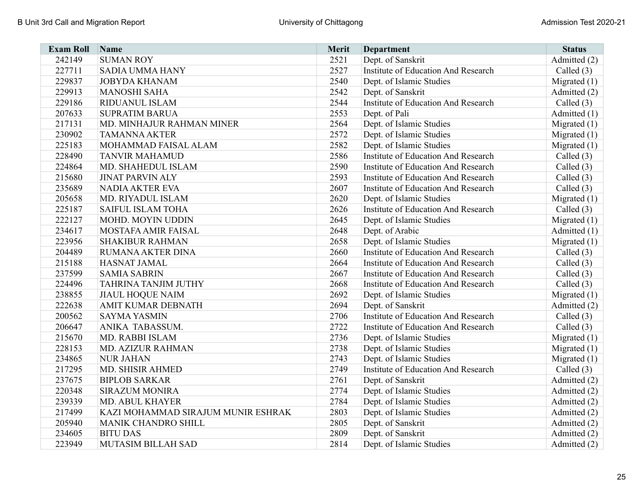| <b>Exam Roll Name</b> |                                    | Merit | <b>Department</b>                          | <b>Status</b>  |
|-----------------------|------------------------------------|-------|--------------------------------------------|----------------|
| 242149                | <b>SUMAN ROY</b>                   | 2521  | Dept. of Sanskrit                          | Admitted (2)   |
| 227711                | <b>SADIA UMMA HANY</b>             | 2527  | Institute of Education And Research        | Called $(3)$   |
| 229837                | <b>JOBYDA KHANAM</b>               | 2540  | Dept. of Islamic Studies                   | Migrated $(1)$ |
| 229913                | <b>MANOSHI SAHA</b>                | 2542  | Dept. of Sanskrit                          | Admitted (2)   |
| 229186                | RIDUANUL ISLAM                     | 2544  | Institute of Education And Research        | Called $(3)$   |
| 207633                | <b>SUPRATIM BARUA</b>              | 2553  | Dept. of Pali                              | Admitted (1)   |
| 217131                | MD. MINHAJUR RAHMAN MINER          | 2564  | Dept. of Islamic Studies                   | Migrated $(1)$ |
| 230902                | <b>TAMANNA AKTER</b>               | 2572  | Dept. of Islamic Studies                   | Migrated $(1)$ |
| 225183                | MOHAMMAD FAISAL ALAM               | 2582  | Dept. of Islamic Studies                   | Migrated $(1)$ |
| 228490                | <b>TANVIR MAHAMUD</b>              | 2586  | Institute of Education And Research        | Called $(3)$   |
| 224864                | MD. SHAHEDUL ISLAM                 | 2590  | Institute of Education And Research        | Called $(3)$   |
| 215680                | <b>JINAT PARVIN ALY</b>            | 2593  | Institute of Education And Research        | Called $(3)$   |
| 235689                | <b>NADIA AKTER EVA</b>             | 2607  | Institute of Education And Research        | Called $(3)$   |
| 205658                | MD. RIYADUL ISLAM                  | 2620  | Dept. of Islamic Studies                   | Migrated $(1)$ |
| 225187                | <b>SAIFUL ISLAM TOHA</b>           | 2626  | Institute of Education And Research        | Called $(3)$   |
| 222127                | MOHD. MOYIN UDDIN                  | 2645  | Dept. of Islamic Studies                   | Migrated $(1)$ |
| 234617                | MOSTAFA AMIR FAISAL                | 2648  | Dept. of Arabic                            | Admitted (1)   |
| 223956                | <b>SHAKIBUR RAHMAN</b>             | 2658  | Dept. of Islamic Studies                   | Migrated $(1)$ |
| 204489                | RUMANA AKTER DINA                  | 2660  | Institute of Education And Research        | Called $(3)$   |
| 215188                | HASNAT JAMAL                       | 2664  | <b>Institute of Education And Research</b> | Called $(3)$   |
| 237599                | <b>SAMIA SABRIN</b>                | 2667  | <b>Institute of Education And Research</b> | Called $(3)$   |
| 224496                | <b>TAHRINA TANJIM JUTHY</b>        | 2668  | Institute of Education And Research        | Called $(3)$   |
| 238855                | <b>JIAUL HOQUE NAIM</b>            | 2692  | Dept. of Islamic Studies                   | Migrated $(1)$ |
| 222638                | AMIT KUMAR DEBNATH                 | 2694  | Dept. of Sanskrit                          | Admitted $(2)$ |
| 200562                | <b>SAYMA YASMIN</b>                | 2706  | <b>Institute of Education And Research</b> | Called $(3)$   |
| 206647                | ANIKA TABASSUM.                    | 2722  | Institute of Education And Research        | Called $(3)$   |
| 215670                | MD. RABBI ISLAM                    | 2736  | Dept. of Islamic Studies                   | Migrated $(1)$ |
| 228153                | MD. AZIZUR RAHMAN                  | 2738  | Dept. of Islamic Studies                   | Migrated $(1)$ |
| 234865                | <b>NUR JAHAN</b>                   | 2743  | Dept. of Islamic Studies                   | Migrated $(1)$ |
| 217295                | MD. SHISIR AHMED                   | 2749  | Institute of Education And Research        | Called $(3)$   |
| 237675                | <b>BIPLOB SARKAR</b>               | 2761  | Dept. of Sanskrit                          | Admitted (2)   |
| 220348                | <b>SIRAZUM MONIRA</b>              | 2774  | Dept. of Islamic Studies                   | Admitted $(2)$ |
| 239339                | <b>MD. ABUL KHAYER</b>             | 2784  | Dept. of Islamic Studies                   | Admitted $(2)$ |
| 217499                | KAZI MOHAMMAD SIRAJUM MUNIR ESHRAK | 2803  | Dept. of Islamic Studies                   | Admitted $(2)$ |
| 205940                | MANIK CHANDRO SHILL                | 2805  | Dept. of Sanskrit                          | Admitted $(2)$ |
| 234605                | <b>BITU DAS</b>                    | 2809  | Dept. of Sanskrit                          | Admitted $(2)$ |
| 223949                | MUTASIM BILLAH SAD                 | 2814  | Dept. of Islamic Studies                   | Admitted (2)   |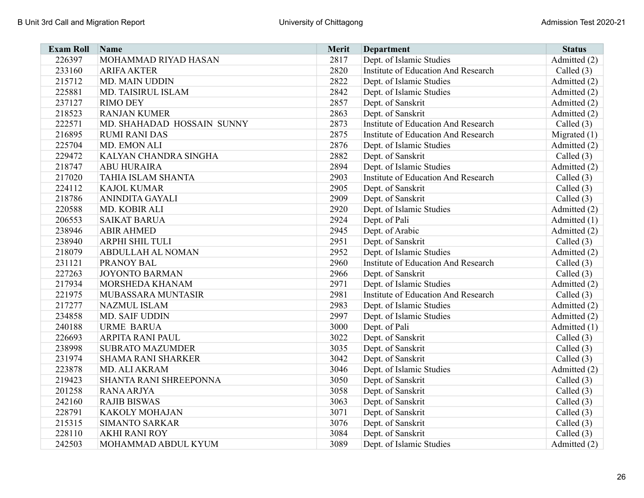| <b>Exam Roll Name</b> |                            | Merit | <b>Department</b>                          | <b>Status</b>  |
|-----------------------|----------------------------|-------|--------------------------------------------|----------------|
| 226397                | MOHAMMAD RIYAD HASAN       | 2817  | Dept. of Islamic Studies                   | Admitted (2)   |
| 233160                | <b>ARIFA AKTER</b>         | 2820  | Institute of Education And Research        | Called $(3)$   |
| 215712                | MD. MAIN UDDIN             | 2822  | Dept. of Islamic Studies                   | Admitted (2)   |
| 225881                | MD. TAISIRUL ISLAM         | 2842  | Dept. of Islamic Studies                   | Admitted (2)   |
| 237127                | <b>RIMO DEY</b>            | 2857  | Dept. of Sanskrit                          | Admitted (2)   |
| 218523                | <b>RANJAN KUMER</b>        | 2863  | Dept. of Sanskrit                          | Admitted (2)   |
| 222571                | MD. SHAHADAD HOSSAIN SUNNY | 2873  | <b>Institute of Education And Research</b> | Called $(3)$   |
| 216895                | <b>RUMI RANI DAS</b>       | 2875  | Institute of Education And Research        | Migrated $(1)$ |
| 225704                | MD. EMON ALI               | 2876  | Dept. of Islamic Studies                   | Admitted (2)   |
| 229472                | KALYAN CHANDRA SINGHA      | 2882  | Dept. of Sanskrit                          | Called $(3)$   |
| 218747                | <b>ABU HURAIRA</b>         | 2894  | Dept. of Islamic Studies                   | Admitted (2)   |
| 217020                | <b>TAHIA ISLAM SHANTA</b>  | 2903  | Institute of Education And Research        | Called $(3)$   |
| 224112                | <b>KAJOL KUMAR</b>         | 2905  | Dept. of Sanskrit                          | Called (3)     |
| 218786                | ANINDITA GAYALI            | 2909  | Dept. of Sanskrit                          | Called $(3)$   |
| 220588                | MD. KOBIR ALI              | 2920  | Dept. of Islamic Studies                   | Admitted (2)   |
| 206553                | <b>SAIKAT BARUA</b>        | 2924  | Dept. of Pali                              | Admitted $(1)$ |
| 238946                | <b>ABIR AHMED</b>          | 2945  | Dept. of Arabic                            | Admitted (2)   |
| 238940                | ARPHI SHIL TULI            | 2951  | Dept. of Sanskrit                          | Called $(3)$   |
| 218079                | <b>ABDULLAH AL NOMAN</b>   | 2952  | Dept. of Islamic Studies                   | Admitted (2)   |
| 231121                | <b>PRANOY BAL</b>          | 2960  | Institute of Education And Research        | Called $(3)$   |
| 227263                | <b>JOYONTO BARMAN</b>      | 2966  | Dept. of Sanskrit                          | Called $(3)$   |
| 217934                | MORSHEDA KHANAM            | 2971  | Dept. of Islamic Studies                   | Admitted (2)   |
| 221975                | MUBASSARA MUNTASIR         | 2981  | Institute of Education And Research        | Called $(3)$   |
| 217277                | <b>NAZMUL ISLAM</b>        | 2983  | Dept. of Islamic Studies                   | Admitted (2)   |
| 234858                | <b>MD. SAIF UDDIN</b>      | 2997  | Dept. of Islamic Studies                   | Admitted (2)   |
| 240188                | <b>URME BARUA</b>          | 3000  | Dept. of Pali                              | Admitted $(1)$ |
| 226693                | ARPITA RANI PAUL           | 3022  | Dept. of Sanskrit                          | Called $(3)$   |
| 238998                | <b>SUBRATO MAZUMDER</b>    | 3035  | Dept. of Sanskrit                          | Called $(3)$   |
| 231974                | <b>SHAMA RANI SHARKER</b>  | 3042  | Dept. of Sanskrit                          | Called $(3)$   |
| 223878                | MD. ALI AKRAM              | 3046  | Dept. of Islamic Studies                   | Admitted (2)   |
| 219423                | SHANTA RANI SHREEPONNA     | 3050  | Dept. of Sanskrit                          | Called $(3)$   |
| 201258                | <b>RANA ARJYA</b>          | 3058  | Dept. of Sanskrit                          | Called $(3)$   |
| 242160                | <b>RAJIB BISWAS</b>        | 3063  | Dept. of Sanskrit                          | Called $(3)$   |
| 228791                | KAKOLY MOHAJAN             | 3071  | Dept. of Sanskrit                          | Called $(3)$   |
| 215315                | <b>SIMANTO SARKAR</b>      | 3076  | Dept. of Sanskrit                          | Called (3)     |
| 228110                | <b>AKHI RANI ROY</b>       | 3084  | Dept. of Sanskrit                          | Called $(3)$   |
| 242503                | MOHAMMAD ABDUL KYUM        | 3089  | Dept. of Islamic Studies                   | Admitted (2)   |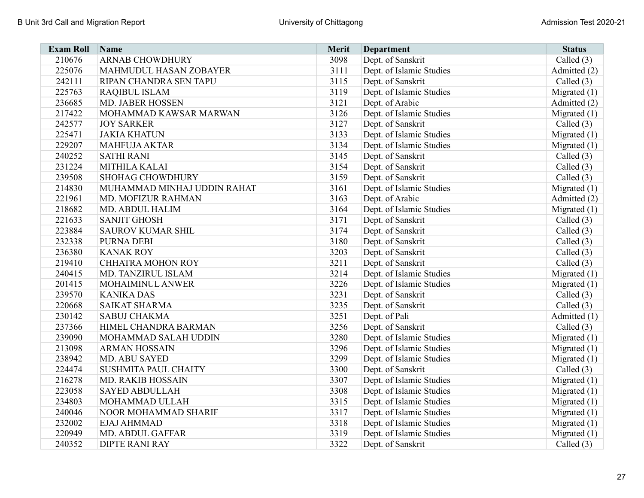| <b>Exam Roll</b> | Name                        | Merit | <b>Department</b>        | <b>Status</b>  |
|------------------|-----------------------------|-------|--------------------------|----------------|
| 210676           | <b>ARNAB CHOWDHURY</b>      | 3098  | Dept. of Sanskrit        | Called (3)     |
| 225076           | MAHMUDUL HASAN ZOBAYER      | 3111  | Dept. of Islamic Studies | Admitted (2)   |
| 242111           | RIPAN CHANDRA SEN TAPU      | 3115  | Dept. of Sanskrit        | Called $(3)$   |
| 225763           | <b>RAQIBUL ISLAM</b>        | 3119  | Dept. of Islamic Studies | Migrated $(1)$ |
| 236685           | MD. JABER HOSSEN            | 3121  | Dept. of Arabic          | Admitted (2)   |
| 217422           | MOHAMMAD KAWSAR MARWAN      | 3126  | Dept. of Islamic Studies | Migrated $(1)$ |
| 242577           | <b>JOY SARKER</b>           | 3127  | Dept. of Sanskrit        | Called $(3)$   |
| 225471           | <b>JAKIA KHATUN</b>         | 3133  | Dept. of Islamic Studies | Migrated $(1)$ |
| 229207           | <b>MAHFUJA AKTAR</b>        | 3134  | Dept. of Islamic Studies | Migrated $(1)$ |
| 240252           | <b>SATHI RANI</b>           | 3145  | Dept. of Sanskrit        | Called $(3)$   |
| 231224           | MITHILA KALAI               | 3154  | Dept. of Sanskrit        | Called (3)     |
| 239508           | <b>SHOHAG CHOWDHURY</b>     | 3159  | Dept. of Sanskrit        | Called $(3)$   |
| 214830           | MUHAMMAD MINHAJ UDDIN RAHAT | 3161  | Dept. of Islamic Studies | Migrated $(1)$ |
| 221961           | MD. MOFIZUR RAHMAN          | 3163  | Dept. of Arabic          | Admitted (2)   |
| 218682           | MD. ABDUL HALIM             | 3164  | Dept. of Islamic Studies | Migrated $(1)$ |
| 221633           | <b>SANJIT GHOSH</b>         | 3171  | Dept. of Sanskrit        | Called $(3)$   |
| 223884           | <b>SAUROV KUMAR SHIL</b>    | 3174  | Dept. of Sanskrit        | Called (3)     |
| 232338           | PURNA DEBI                  | 3180  | Dept. of Sanskrit        | Called $(3)$   |
| 236380           | <b>KANAK ROY</b>            | 3203  | Dept. of Sanskrit        | Called $(3)$   |
| 219410           | CHHATRA MOHON ROY           | 3211  | Dept. of Sanskrit        | Called $(3)$   |
| 240415           | MD. TANZIRUL ISLAM          | 3214  | Dept. of Islamic Studies | Migrated $(1)$ |
| 201415           | MOHAIMINUL ANWER            | 3226  | Dept. of Islamic Studies | Migrated $(1)$ |
| 239570           | <b>KANIKA DAS</b>           | 3231  | Dept. of Sanskrit        | Called $(3)$   |
| 220668           | <b>SAIKAT SHARMA</b>        | 3235  | Dept. of Sanskrit        | Called $(3)$   |
| 230142           | <b>SABUJ CHAKMA</b>         | 3251  | Dept. of Pali            | Admitted (1)   |
| 237366           | HIMEL CHANDRA BARMAN        | 3256  | Dept. of Sanskrit        | Called $(3)$   |
| 239090           | MOHAMMAD SALAH UDDIN        | 3280  | Dept. of Islamic Studies | Migrated $(1)$ |
| 213098           | <b>ARMAN HOSSAIN</b>        | 3296  | Dept. of Islamic Studies | Migrated $(1)$ |
| 238942           | MD. ABU SAYED               | 3299  | Dept. of Islamic Studies | Migrated $(1)$ |
| 224474           | SUSHMITA PAUL CHAITY        | 3300  | Dept. of Sanskrit        | Called $(3)$   |
| 216278           | MD. RAKIB HOSSAIN           | 3307  | Dept. of Islamic Studies | Migrated $(1)$ |
| 223058           | <b>SAYED ABDULLAH</b>       | 3308  | Dept. of Islamic Studies | Migrated $(1)$ |
| 234803           | MOHAMMAD ULLAH              | 3315  | Dept. of Islamic Studies | Migrated $(1)$ |
| 240046           | NOOR MOHAMMAD SHARIF        | 3317  | Dept. of Islamic Studies | Migrated $(1)$ |
| 232002           | <b>EJAJ AHMMAD</b>          | 3318  | Dept. of Islamic Studies | Migrated $(1)$ |
| 220949           | MD. ABDUL GAFFAR            | 3319  | Dept. of Islamic Studies | Migrated $(1)$ |
| 240352           | <b>DIPTE RANI RAY</b>       | 3322  | Dept. of Sanskrit        | Called $(3)$   |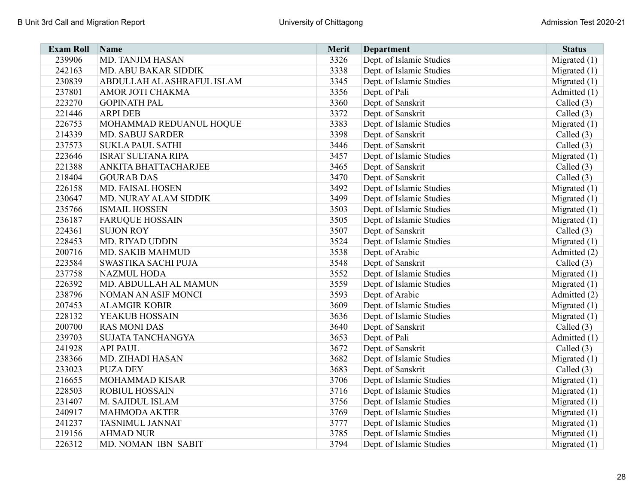| <b>Exam Roll</b> | Name                       | <b>Merit</b> | <b>Department</b>        | <b>Status</b>  |
|------------------|----------------------------|--------------|--------------------------|----------------|
| 239906           | MD. TANJIM HASAN           | 3326         | Dept. of Islamic Studies | Migrated $(1)$ |
| 242163           | MD. ABU BAKAR SIDDIK       | 3338         | Dept. of Islamic Studies | Migrated $(1)$ |
| 230839           | ABDULLAH AL ASHRAFUL ISLAM | 3345         | Dept. of Islamic Studies | Migrated $(1)$ |
| 237801           | AMOR JOTI CHAKMA           | 3356         | Dept. of Pali            | Admitted (1)   |
| 223270           | <b>GOPINATH PAL</b>        | 3360         | Dept. of Sanskrit        | Called $(3)$   |
| 221446           | <b>ARPI DEB</b>            | 3372         | Dept. of Sanskrit        | Called $(3)$   |
| 226753           | MOHAMMAD REDUANUL HOQUE    | 3383         | Dept. of Islamic Studies | Migrated $(1)$ |
| 214339           | <b>MD. SABUJ SARDER</b>    | 3398         | Dept. of Sanskrit        | Called $(3)$   |
| 237573           | <b>SUKLA PAUL SATHI</b>    | 3446         | Dept. of Sanskrit        | Called $(3)$   |
| 223646           | <b>ISRAT SULTANA RIPA</b>  | 3457         | Dept. of Islamic Studies | Migrated $(1)$ |
| 221388           | ANKITA BHATTACHARJEE       | 3465         | Dept. of Sanskrit        | Called $(3)$   |
| 218404           | <b>GOURAB DAS</b>          | 3470         | Dept. of Sanskrit        | Called $(3)$   |
| 226158           | MD. FAISAL HOSEN           | 3492         | Dept. of Islamic Studies | Migrated $(1)$ |
| 230647           | MD. NURAY ALAM SIDDIK      | 3499         | Dept. of Islamic Studies | Migrated $(1)$ |
| 235766           | <b>ISMAIL HOSSEN</b>       | 3503         | Dept. of Islamic Studies | Migrated $(1)$ |
| 236187           | <b>FARUQUE HOSSAIN</b>     | 3505         | Dept. of Islamic Studies | Migrated $(1)$ |
| 224361           | <b>SUJON ROY</b>           | 3507         | Dept. of Sanskrit        | Called $(3)$   |
| 228453           | MD. RIYAD UDDIN            | 3524         | Dept. of Islamic Studies | Migrated $(1)$ |
| 200716           | MD. SAKIB MAHMUD           | 3538         | Dept. of Arabic          | Admitted (2)   |
| 223584           | <b>SWASTIKA SACHI PUJA</b> | 3548         | Dept. of Sanskrit        | Called $(3)$   |
| 237758           | <b>NAZMUL HODA</b>         | 3552         | Dept. of Islamic Studies | Migrated $(1)$ |
| 226392           | MD. ABDULLAH AL MAMUN      | 3559         | Dept. of Islamic Studies | Migrated $(1)$ |
| 238796           | NOMAN AN ASIF MONCI        | 3593         | Dept. of Arabic          | Admitted (2)   |
| 207453           | <b>ALAMGIR KOBIR</b>       | 3609         | Dept. of Islamic Studies | Migrated $(1)$ |
| 228132           | <b>YEAKUB HOSSAIN</b>      | 3636         | Dept. of Islamic Studies | Migrated $(1)$ |
| 200700           | <b>RAS MONI DAS</b>        | 3640         | Dept. of Sanskrit        | Called $(3)$   |
| 239703           | SUJATA TANCHANGYA          | 3653         | Dept. of Pali            | Admitted (1)   |
| 241928           | <b>API PAUL</b>            | 3672         | Dept. of Sanskrit        | Called $(3)$   |
| 238366           | MD. ZIHADI HASAN           | 3682         | Dept. of Islamic Studies | Migrated $(1)$ |
| 233023           | <b>PUZA DEY</b>            | 3683         | Dept. of Sanskrit        | Called $(3)$   |
| 216655           | <b>MOHAMMAD KISAR</b>      | 3706         | Dept. of Islamic Studies | Migrated $(1)$ |
| 228503           | <b>ROBIUL HOSSAIN</b>      | 3716         | Dept. of Islamic Studies | Migrated $(1)$ |
| 231407           | M. SAJIDUL ISLAM           | 3756         | Dept. of Islamic Studies | Migrated $(1)$ |
| 240917           | <b>MAHMODA AKTER</b>       | 3769         | Dept. of Islamic Studies | Migrated $(1)$ |
| 241237           | <b>TASNIMUL JANNAT</b>     | 3777         | Dept. of Islamic Studies | Migrated $(1)$ |
| 219156           | <b>AHMAD NUR</b>           | 3785         | Dept. of Islamic Studies | Migrated $(1)$ |
| 226312           | MD. NOMAN IBN SABIT        | 3794         | Dept. of Islamic Studies | Migrated $(1)$ |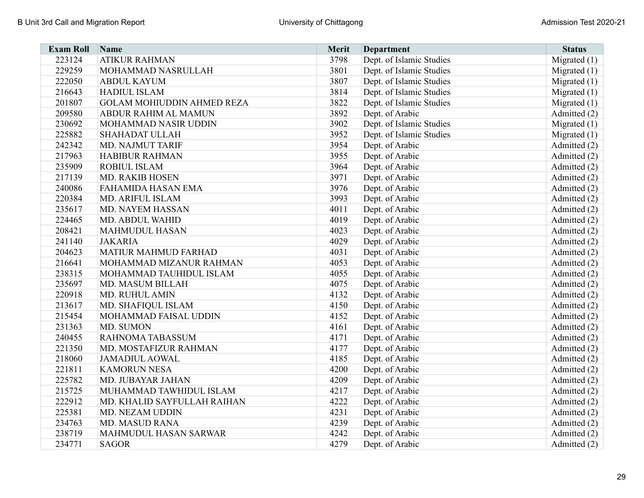| <b>Exam Roll</b> | Name                              | <b>Merit</b> | <b>Department</b>        | <b>Status</b>  |
|------------------|-----------------------------------|--------------|--------------------------|----------------|
| 223124           | <b>ATIKUR RAHMAN</b>              | 3798         | Dept. of Islamic Studies | Migrated $(1)$ |
| 229259           | MOHAMMAD NASRULLAH                | 3801         | Dept. of Islamic Studies | Migrated $(1)$ |
| 222050           | <b>ABDUL KAYUM</b>                | 3807         | Dept. of Islamic Studies | Migrated $(1)$ |
| 216643           | <b>HADIUL ISLAM</b>               | 3814         | Dept. of Islamic Studies | Migrated $(1)$ |
| 201807           | <b>GOLAM MOHIUDDIN AHMED REZA</b> | 3822         | Dept. of Islamic Studies | Migrated $(1)$ |
| 209580           | ABDUR RAHIM AL MAMUN              | 3892         | Dept. of Arabic          | Admitted (2)   |
| 230692           | MOHAMMAD NASIR UDDIN              | 3902         | Dept. of Islamic Studies | Migrated $(1)$ |
| 225882           | <b>SHAHADAT ULLAH</b>             | 3952         | Dept. of Islamic Studies | Migrated $(1)$ |
| 242342           | MD. NAJMUT TARIF                  | 3954         | Dept. of Arabic          | Admitted (2)   |
| 217963           | <b>HABIBUR RAHMAN</b>             | 3955         | Dept. of Arabic          | Admitted (2)   |
| 235909           | <b>ROBIUL ISLAM</b>               | 3964         | Dept. of Arabic          | Admitted (2)   |
| 217139           | MD. RAKIB HOSEN                   | 3971         | Dept. of Arabic          | Admitted (2)   |
| 240086           | <b>FAHAMIDA HASAN EMA</b>         | 3976         | Dept. of Arabic          | Admitted (2)   |
| 220384           | MD. ARIFUL ISLAM                  | 3993         | Dept. of Arabic          | Admitted (2)   |
| 235617           | MD. NAYEM HASSAN                  | 4011         | Dept. of Arabic          | Admitted (2)   |
| 224465           | MD. ABDUL WAHID                   | 4019         | Dept. of Arabic          | Admitted (2)   |
| 208421           | <b>MAHMUDUL HASAN</b>             | 4023         | Dept. of Arabic          | Admitted (2)   |
| 241140           | <b>JAKARIA</b>                    | 4029         | Dept. of Arabic          | Admitted (2)   |
| 204623           | <b>MATIUR MAHMUD FARHAD</b>       | 4031         | Dept. of Arabic          | Admitted (2)   |
| 216641           | MOHAMMAD MIZANUR RAHMAN           | 4053         | Dept. of Arabic          | Admitted (2)   |
| 238315           | MOHAMMAD TAUHIDUL ISLAM           | 4055         | Dept. of Arabic          | Admitted (2)   |
| 235697           | MD. MASUM BILLAH                  | 4075         | Dept. of Arabic          | Admitted (2)   |
| 220918           | MD. RUHUL AMIN                    | 4132         | Dept. of Arabic          | Admitted (2)   |
| 213617           | MD. SHAFIQUL ISLAM                | 4150         | Dept. of Arabic          | Admitted (2)   |
| 215454           | MOHAMMAD FAISAL UDDIN             | 4152         | Dept. of Arabic          | Admitted (2)   |
| 231363           | MD. SUMON                         | 4161         | Dept. of Arabic          | Admitted (2)   |
| 240455           | RAHNOMA TABASSUM                  | 4171         | Dept. of Arabic          | Admitted (2)   |
| 221350           | MD. MOSTAFIZUR RAHMAN             | 4177         | Dept. of Arabic          | Admitted (2)   |
| 218060           | <b>JAMADIUL AOWAL</b>             | 4185         | Dept. of Arabic          | Admitted (2)   |
| 221811           | <b>KAMORUN NESA</b>               | 4200         | Dept. of Arabic          | Admitted (2)   |
| 225782           | MD. JUBAYAR JAHAN                 | 4209         | Dept. of Arabic          | Admitted (2)   |
| 215725           | MUHAMMAD TAWHIDUL ISLAM           | 4217         | Dept. of Arabic          | Admitted (2)   |
| 222912           | MD. KHALID SAYFULLAH RAIHAN       | 4222         | Dept. of Arabic          | Admitted (2)   |
| 225381           | MD. NEZAM UDDIN                   | 4231         | Dept. of Arabic          | Admitted (2)   |
| 234763           | MD. MASUD RANA                    | 4239         | Dept. of Arabic          | Admitted (2)   |
| 238719           | MAHMUDUL HASAN SARWAR             | 4242         | Dept. of Arabic          | Admitted (2)   |
| 234771           | <b>SAGOR</b>                      | 4279         | Dept. of Arabic          | Admitted (2)   |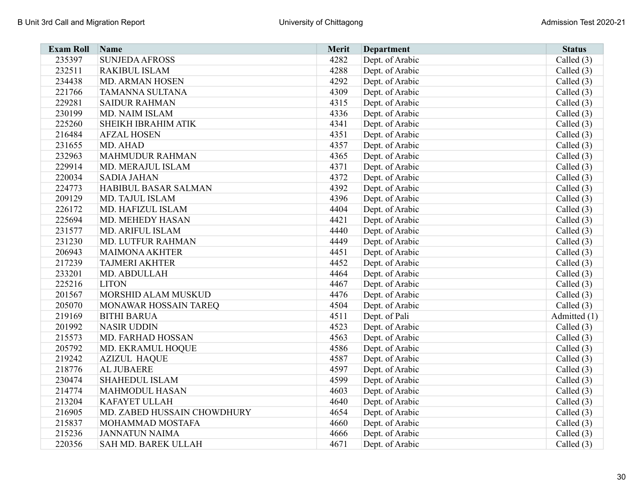| <b>Exam Roll</b> | Name                        | <b>Merit</b> | <b>Department</b> | <b>Status</b> |
|------------------|-----------------------------|--------------|-------------------|---------------|
| 235397           | <b>SUNJEDA AFROSS</b>       | 4282         | Dept. of Arabic   | Called (3)    |
| 232511           | <b>RAKIBUL ISLAM</b>        | 4288         | Dept. of Arabic   | Called $(3)$  |
| 234438           | MD. ARMAN HOSEN             | 4292         | Dept. of Arabic   | Called $(3)$  |
| 221766           | <b>TAMANNA SULTANA</b>      | 4309         | Dept. of Arabic   | Called $(3)$  |
| 229281           | <b>SAIDUR RAHMAN</b>        | 4315         | Dept. of Arabic   | Called $(3)$  |
| 230199           | MD. NAIM ISLAM              | 4336         | Dept. of Arabic   | Called (3)    |
| 225260           | SHEIKH IBRAHIM ATIK         | 4341         | Dept. of Arabic   | Called (3)    |
| 216484           | <b>AFZAL HOSEN</b>          | 4351         | Dept. of Arabic   | Called (3)    |
| 231655           | MD. AHAD                    | 4357         | Dept. of Arabic   | Called (3)    |
| 232963           | <b>MAHMUDUR RAHMAN</b>      | 4365         | Dept. of Arabic   | Called $(3)$  |
| 229914           | MD. MERAJUL ISLAM           | 4371         | Dept. of Arabic   | Called $(3)$  |
| 220034           | <b>SADIA JAHAN</b>          | 4372         | Dept. of Arabic   | Called $(3)$  |
| 224773           | HABIBUL BASAR SALMAN        | 4392         | Dept. of Arabic   | Called (3)    |
| 209129           | MD. TAJUL ISLAM             | 4396         | Dept. of Arabic   | Called $(3)$  |
| 226172           | MD. HAFIZUL ISLAM           | 4404         | Dept. of Arabic   | Called (3)    |
| 225694           | MD. MEHEDY HASAN            | 4421         | Dept. of Arabic   | Called $(3)$  |
| 231577           | MD. ARIFUL ISLAM            | 4440         | Dept. of Arabic   | Called (3)    |
| 231230           | MD. LUTFUR RAHMAN           | 4449         | Dept. of Arabic   | Called (3)    |
| 206943           | <b>MAIMONA AKHTER</b>       | 4451         | Dept. of Arabic   | Called (3)    |
| 217239           | <b>TAJMERI AKHTER</b>       | 4452         | Dept. of Arabic   | Called $(3)$  |
| 233201           | MD. ABDULLAH                | 4464         | Dept. of Arabic   | Called $(3)$  |
| 225216           | <b>LITON</b>                | 4467         | Dept. of Arabic   | Called $(3)$  |
| 201567           | MORSHID ALAM MUSKUD         | 4476         | Dept. of Arabic   | Called $(3)$  |
| 205070           | MONAWAR HOSSAIN TAREQ       | 4504         | Dept. of Arabic   | Called $(3)$  |
| 219169           | <b>BITHI BARUA</b>          | 4511         | Dept. of Pali     | Admitted (1)  |
| 201992           | <b>NASIR UDDIN</b>          | 4523         | Dept. of Arabic   | Called $(3)$  |
| 215573           | MD. FARHAD HOSSAN           | 4563         | Dept. of Arabic   | Called (3)    |
| 205792           | MD. EKRAMUL HOQUE           | 4586         | Dept. of Arabic   | Called $(3)$  |
| 219242           | <b>AZIZUL HAQUE</b>         | 4587         | Dept. of Arabic   | Called (3)    |
| 218776           | <b>AL JUBAERE</b>           | 4597         | Dept. of Arabic   | Called $(3)$  |
| 230474           | <b>SHAHEDUL ISLAM</b>       | 4599         | Dept. of Arabic   | Called (3)    |
| 214774           | <b>MAHMODUL HASAN</b>       | 4603         | Dept. of Arabic   | Called $(3)$  |
| 213204           | KAFAYET ULLAH               | 4640         | Dept. of Arabic   | Called $(3)$  |
| 216905           | MD. ZABED HUSSAIN CHOWDHURY | 4654         | Dept. of Arabic   | Called (3)    |
| 215837           | MOHAMMAD MOSTAFA            | 4660         | Dept. of Arabic   | Called $(3)$  |
| 215236           | <b>JANNATUN NAIMA</b>       | 4666         | Dept. of Arabic   | Called $(3)$  |
| 220356           | SAH MD. BAREK ULLAH         | 4671         | Dept. of Arabic   | Called $(3)$  |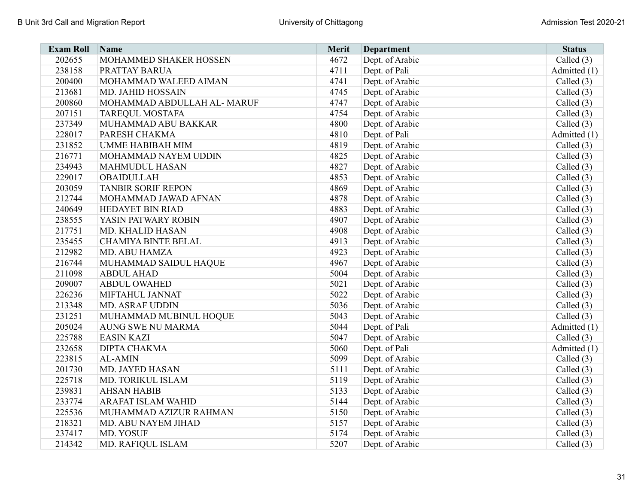| <b>Exam Roll</b> | Name                        | <b>Merit</b> | <b>Department</b> | <b>Status</b> |
|------------------|-----------------------------|--------------|-------------------|---------------|
| 202655           | MOHAMMED SHAKER HOSSEN      | 4672         | Dept. of Arabic   | Called (3)    |
| 238158           | PRATTAY BARUA               | 4711         | Dept. of Pali     | Admitted (1)  |
| 200400           | MOHAMMAD WALEED AIMAN       | 4741         | Dept. of Arabic   | Called $(3)$  |
| 213681           | MD. JAHID HOSSAIN           | 4745         | Dept. of Arabic   | Called $(3)$  |
| 200860           | MOHAMMAD ABDULLAH AL- MARUF | 4747         | Dept. of Arabic   | Called $(3)$  |
| 207151           | <b>TAREQUL MOSTAFA</b>      | 4754         | Dept. of Arabic   | Called $(3)$  |
| 237349           | MUHAMMAD ABU BAKKAR         | 4800         | Dept. of Arabic   | Called (3)    |
| 228017           | PARESH CHAKMA               | 4810         | Dept. of Pali     | Admitted (1)  |
| 231852           | <b>UMME HABIBAH MIM</b>     | 4819         | Dept. of Arabic   | Called $(3)$  |
| 216771           | MOHAMMAD NAYEM UDDIN        | 4825         | Dept. of Arabic   | Called $(3)$  |
| 234943           | <b>MAHMUDUL HASAN</b>       | 4827         | Dept. of Arabic   | Called (3)    |
| 229017           | <b>OBAIDULLAH</b>           | 4853         | Dept. of Arabic   | Called $(3)$  |
| 203059           | <b>TANBIR SORIF REPON</b>   | 4869         | Dept. of Arabic   | Called $(3)$  |
| 212744           | MOHAMMAD JAWAD AFNAN        | 4878         | Dept. of Arabic   | Called $(3)$  |
| 240649           | <b>HEDAYET BIN RIAD</b>     | 4883         | Dept. of Arabic   | Called (3)    |
| 238555           | YASIN PATWARY ROBIN         | 4907         | Dept. of Arabic   | Called $(3)$  |
| 217751           | MD. KHALID HASAN            | 4908         | Dept. of Arabic   | Called $(3)$  |
| 235455           | <b>CHAMIYA BINTE BELAL</b>  | 4913         | Dept. of Arabic   | Called $(3)$  |
| 212982           | MD. ABU HAMZA               | 4923         | Dept. of Arabic   | Called $(3)$  |
| 216744           | MUHAMMAD SAIDUL HAQUE       | 4967         | Dept. of Arabic   | Called $(3)$  |
| 211098           | <b>ABDUL AHAD</b>           | 5004         | Dept. of Arabic   | Called $(3)$  |
| 209007           | <b>ABDUL OWAHED</b>         | 5021         | Dept. of Arabic   | Called $(3)$  |
| 226236           | MIFTAHUL JANNAT             | 5022         | Dept. of Arabic   | Called $(3)$  |
| 213348           | MD. ASRAF UDDIN             | 5036         | Dept. of Arabic   | Called $(3)$  |
| 231251           | MUHAMMAD MUBINUL HOQUE      | 5043         | Dept. of Arabic   | Called $(3)$  |
| 205024           | <b>AUNG SWE NU MARMA</b>    | 5044         | Dept. of Pali     | Admitted (1)  |
| 225788           | <b>EASIN KAZI</b>           | 5047         | Dept. of Arabic   | Called $(3)$  |
| 232658           | DIPTA CHAKMA                | 5060         | Dept. of Pali     | Admitted (1)  |
| 223815           | <b>AL-AMIN</b>              | 5099         | Dept. of Arabic   | Called $(3)$  |
| 201730           | MD. JAYED HASAN             | 5111         | Dept. of Arabic   | Called $(3)$  |
| 225718           | MD. TORIKUL ISLAM           | 5119         | Dept. of Arabic   | Called $(3)$  |
| 239831           | <b>AHSAN HABIB</b>          | 5133         | Dept. of Arabic   | Called $(3)$  |
| 233774           | ARAFAT ISLAM WAHID          | 5144         | Dept. of Arabic   | Called $(3)$  |
| 225536           | MUHAMMAD AZIZUR RAHMAN      | 5150         | Dept. of Arabic   | Called $(3)$  |
| 218321           | MD. ABU NAYEM JIHAD         | 5157         | Dept. of Arabic   | Called (3)    |
| 237417           | MD. YOSUF                   | 5174         | Dept. of Arabic   | Called $(3)$  |
| 214342           | MD. RAFIQUL ISLAM           | 5207         | Dept. of Arabic   | Called $(3)$  |